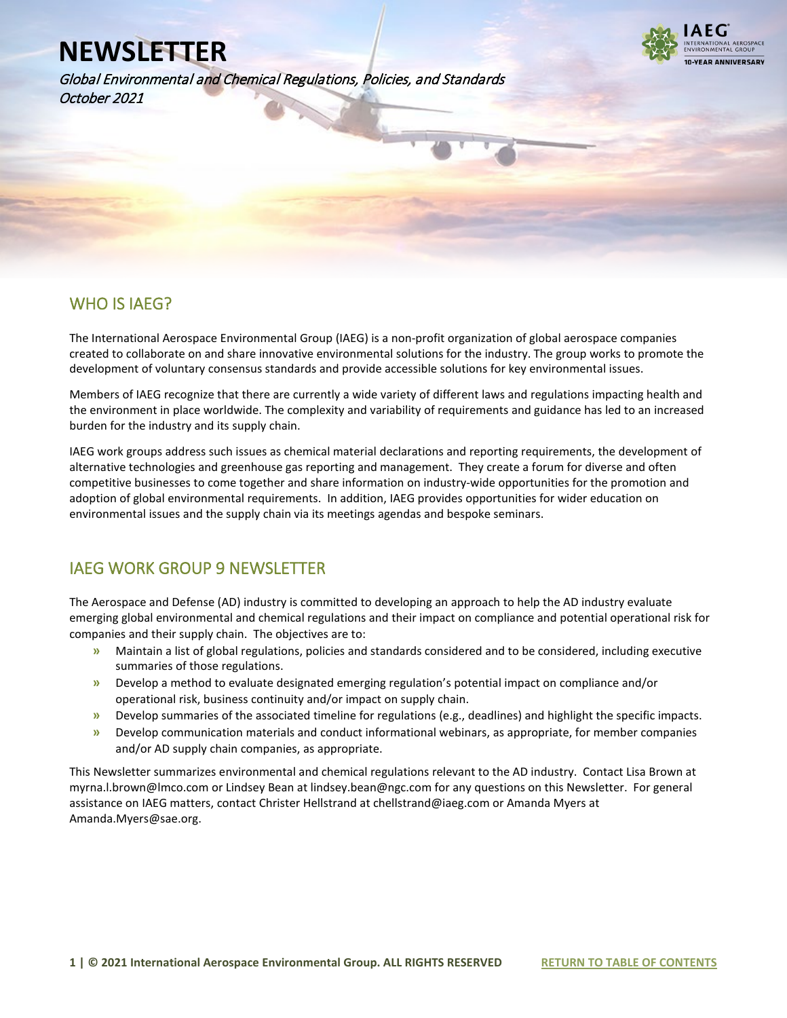Global Environmental and Chemical Regulations, Policies, and Standards October 2021



### WHO IS IAEG?

l

The International Aerospace Environmental Group (IAEG) is a non-profit organization of global aerospace companies created to collaborate on and share innovative environmental solutions for the industry. The group works to promote the development of voluntary consensus standards and provide accessible solutions for key environmental issues.

Members of IAEG recognize that there are currently a wide variety of different laws and regulations impacting health and the environment in place worldwide. The complexity and variability of requirements and guidance has led to an increased burden for the industry and its supply chain.

IAEG work groups address such issues as chemical material declarations and reporting requirements, the development of alternative technologies and greenhouse gas reporting and management. They create a forum for diverse and often competitive businesses to come together and share information on industry-wide opportunities for the promotion and adoption of global environmental requirements. In addition, IAEG provides opportunities for wider education on environmental issues and the supply chain via its meetings agendas and bespoke seminars.

## IAEG WORK GROUP 9 NEWSLETTER

The Aerospace and Defense (AD) industry is committed to developing an approach to help the AD industry evaluate emerging global environmental and chemical regulations and their impact on compliance and potential operational risk for companies and their supply chain. The objectives are to:

- **»** Maintain a list of global regulations, policies and standards considered and to be considered, including executive summaries of those regulations.
- **»** Develop a method to evaluate designated emerging regulation's potential impact on compliance and/or operational risk, business continuity and/or impact on supply chain.
- **»** Develop summaries of the associated timeline for regulations (e.g., deadlines) and highlight the specific impacts.
- **»** Develop communication materials and conduct informational webinars, as appropriate, for member companies and/or AD supply chain companies, as appropriate.

This Newsletter summarizes environmental and chemical regulations relevant to the AD industry. Contact Lisa Brown at myrna.l.brown@lmco.com or Lindsey Bean at lindsey.bean@ngc.com for any questions on this Newsletter. For general assistance on IAEG matters, contact Christer Hellstrand at chellstrand@iaeg.com or Amanda Myers at Amanda.Myers@sae.org.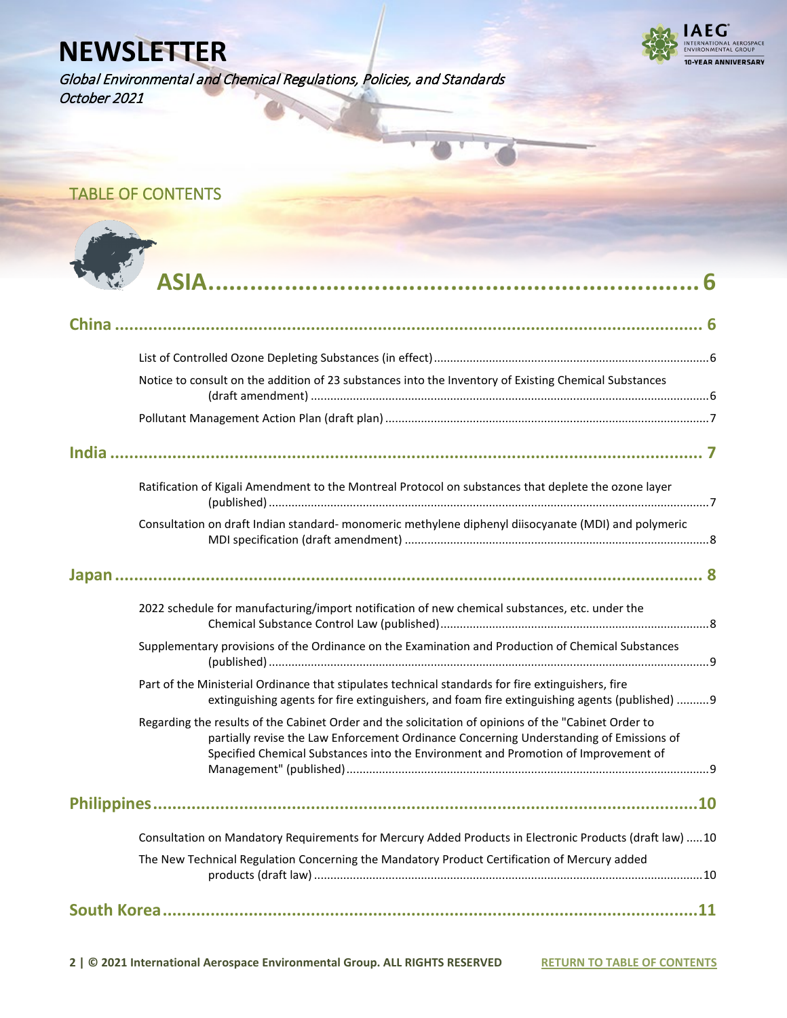



## TABLE OF CONTENTS

| ASIA. |
|-------|
|       |

| China                                                                                                                                                                                                                                                                                 |  |
|---------------------------------------------------------------------------------------------------------------------------------------------------------------------------------------------------------------------------------------------------------------------------------------|--|
|                                                                                                                                                                                                                                                                                       |  |
| Notice to consult on the addition of 23 substances into the Inventory of Existing Chemical Substances                                                                                                                                                                                 |  |
|                                                                                                                                                                                                                                                                                       |  |
|                                                                                                                                                                                                                                                                                       |  |
| Ratification of Kigali Amendment to the Montreal Protocol on substances that deplete the ozone layer                                                                                                                                                                                  |  |
| Consultation on draft Indian standard-monomeric methylene diphenyl diisocyanate (MDI) and polymeric                                                                                                                                                                                   |  |
|                                                                                                                                                                                                                                                                                       |  |
| 2022 schedule for manufacturing/import notification of new chemical substances, etc. under the                                                                                                                                                                                        |  |
| Supplementary provisions of the Ordinance on the Examination and Production of Chemical Substances                                                                                                                                                                                    |  |
| Part of the Ministerial Ordinance that stipulates technical standards for fire extinguishers, fire<br>extinguishing agents for fire extinguishers, and foam fire extinguishing agents (published)  9                                                                                  |  |
| Regarding the results of the Cabinet Order and the solicitation of opinions of the "Cabinet Order to<br>partially revise the Law Enforcement Ordinance Concerning Understanding of Emissions of<br>Specified Chemical Substances into the Environment and Promotion of Improvement of |  |
|                                                                                                                                                                                                                                                                                       |  |
| Consultation on Mandatory Requirements for Mercury Added Products in Electronic Products (draft law) 10                                                                                                                                                                               |  |
| The New Technical Regulation Concerning the Mandatory Product Certification of Mercury added                                                                                                                                                                                          |  |
|                                                                                                                                                                                                                                                                                       |  |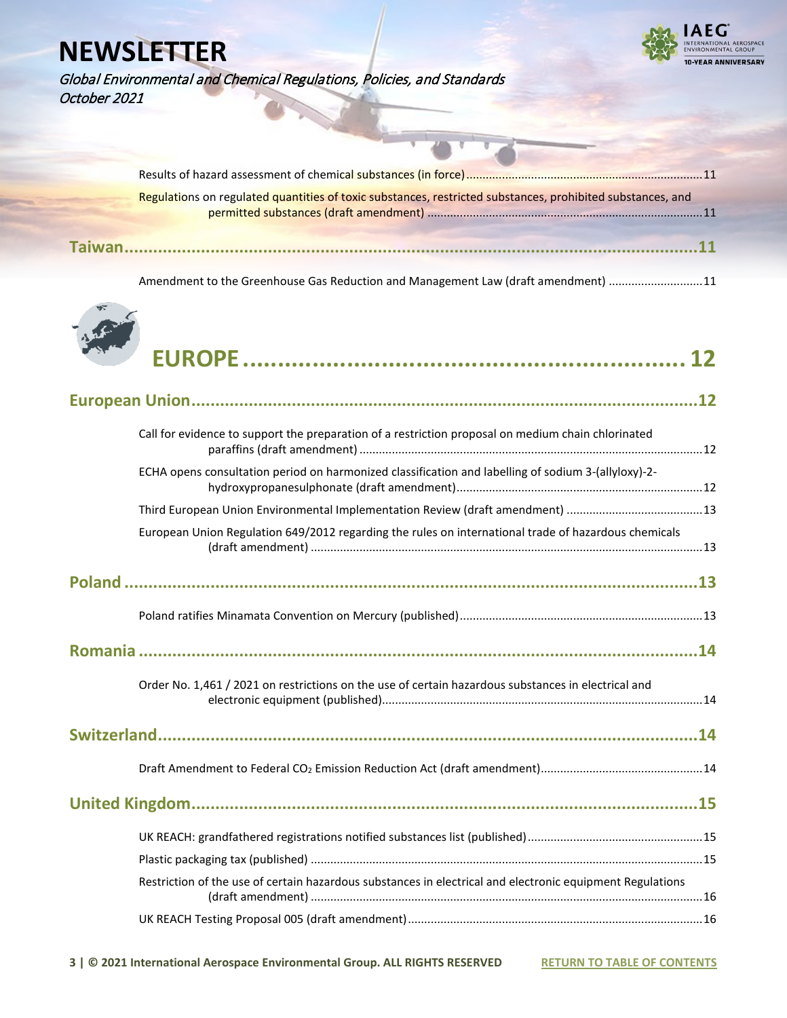

Global Environmental and Chemical Regulations, Policies, and Standards October 2021

| Regulations on regulated quantities of toxic substances, restricted substances, prohibited substances, and |
|------------------------------------------------------------------------------------------------------------|
|                                                                                                            |
|                                                                                                            |

Amendment to the Greenhouse Gas Reduction and Management Law (draft amendment) .............................11



| <b>By Aur</b><br><b>PASA</b> |  |
|------------------------------|--|
|                              |  |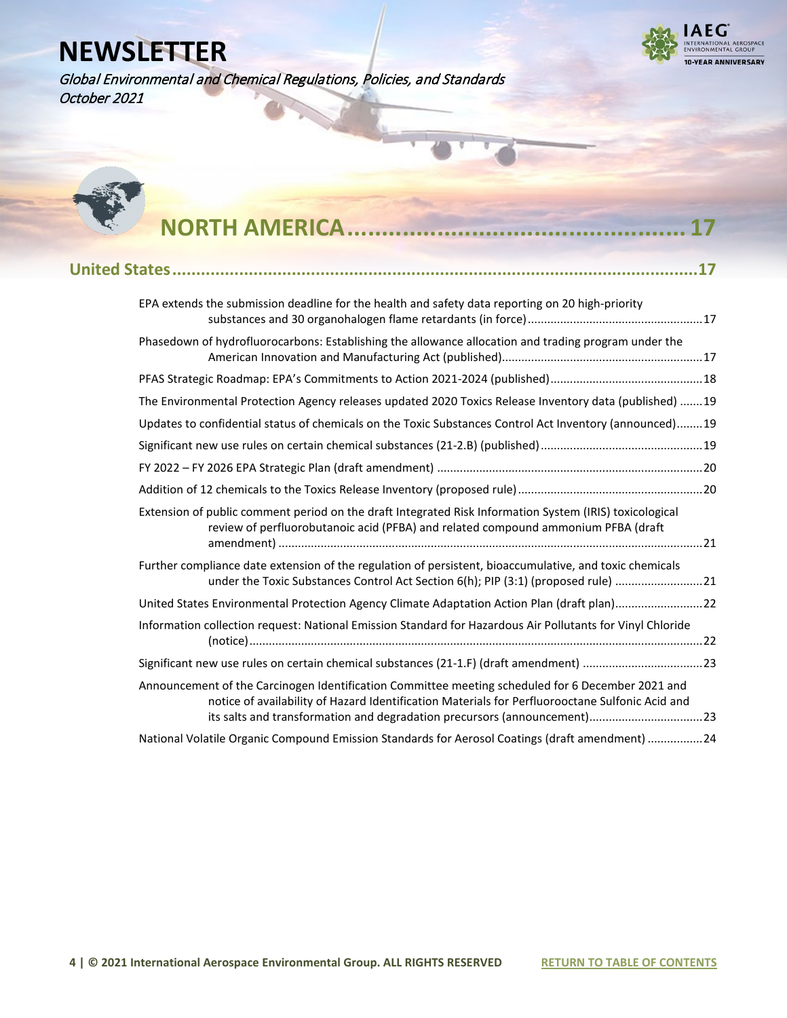

Global Environmental and Chemical Regulations, Policies, and Standards October 2021



## **NORTH AMERICA**

| EPA extends the submission deadline for the health and safety data reporting on 20 high-priority                                                                                                                                                                                 |  |
|----------------------------------------------------------------------------------------------------------------------------------------------------------------------------------------------------------------------------------------------------------------------------------|--|
| Phasedown of hydrofluorocarbons: Establishing the allowance allocation and trading program under the                                                                                                                                                                             |  |
|                                                                                                                                                                                                                                                                                  |  |
| The Environmental Protection Agency releases updated 2020 Toxics Release Inventory data (published) 19                                                                                                                                                                           |  |
| Updates to confidential status of chemicals on the Toxic Substances Control Act Inventory (announced)19                                                                                                                                                                          |  |
|                                                                                                                                                                                                                                                                                  |  |
|                                                                                                                                                                                                                                                                                  |  |
|                                                                                                                                                                                                                                                                                  |  |
| Extension of public comment period on the draft Integrated Risk Information System (IRIS) toxicological<br>review of perfluorobutanoic acid (PFBA) and related compound ammonium PFBA (draft                                                                                     |  |
| Further compliance date extension of the regulation of persistent, bioaccumulative, and toxic chemicals<br>under the Toxic Substances Control Act Section 6(h); PIP (3:1) (proposed rule) 21                                                                                     |  |
| United States Environmental Protection Agency Climate Adaptation Action Plan (draft plan)22                                                                                                                                                                                      |  |
| Information collection request: National Emission Standard for Hazardous Air Pollutants for Vinyl Chloride                                                                                                                                                                       |  |
| Significant new use rules on certain chemical substances (21-1.F) (draft amendment) 23                                                                                                                                                                                           |  |
| Announcement of the Carcinogen Identification Committee meeting scheduled for 6 December 2021 and<br>notice of availability of Hazard Identification Materials for Perfluorooctane Sulfonic Acid and<br>its salts and transformation and degradation precursors (announcement)23 |  |
| National Volatile Organic Compound Emission Standards for Aerosol Coatings (draft amendment) 24                                                                                                                                                                                  |  |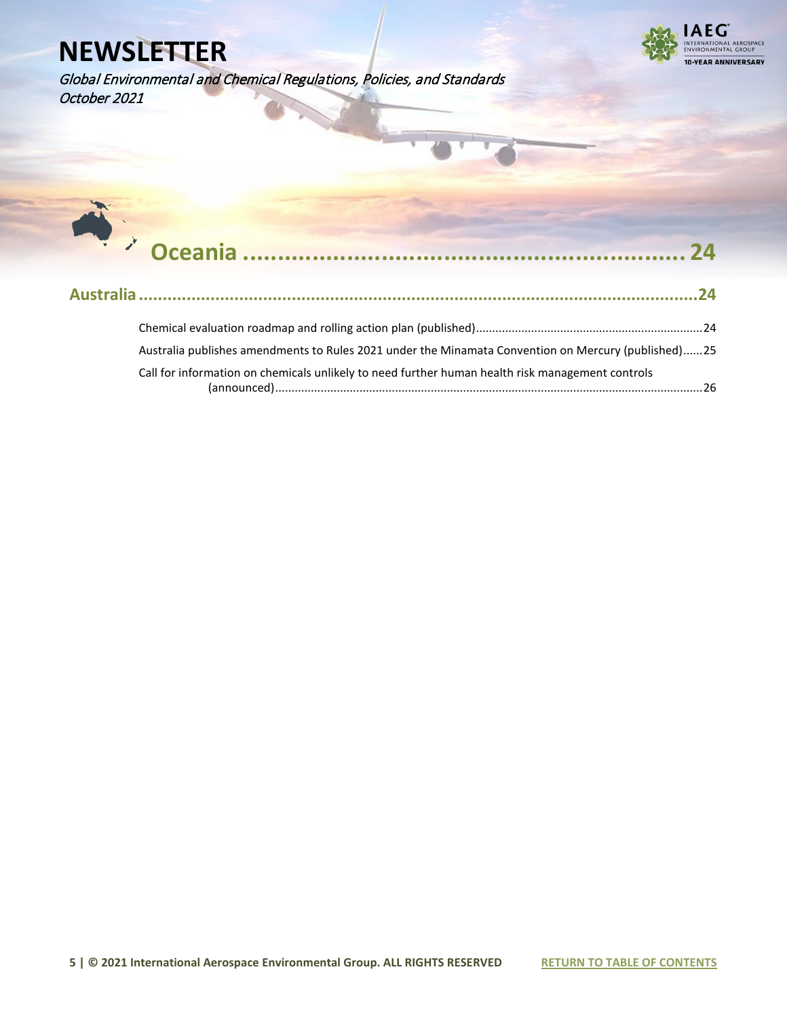

Global Environmental and Chemical Regulations, Policies, and Standards October 2021

| Australia publishes amendments to Rules 2021 under the Minamata Convention on Mercury (published)25 |
|-----------------------------------------------------------------------------------------------------|
| Call for information on chemicals unlikely to need further human health risk management controls    |
|                                                                                                     |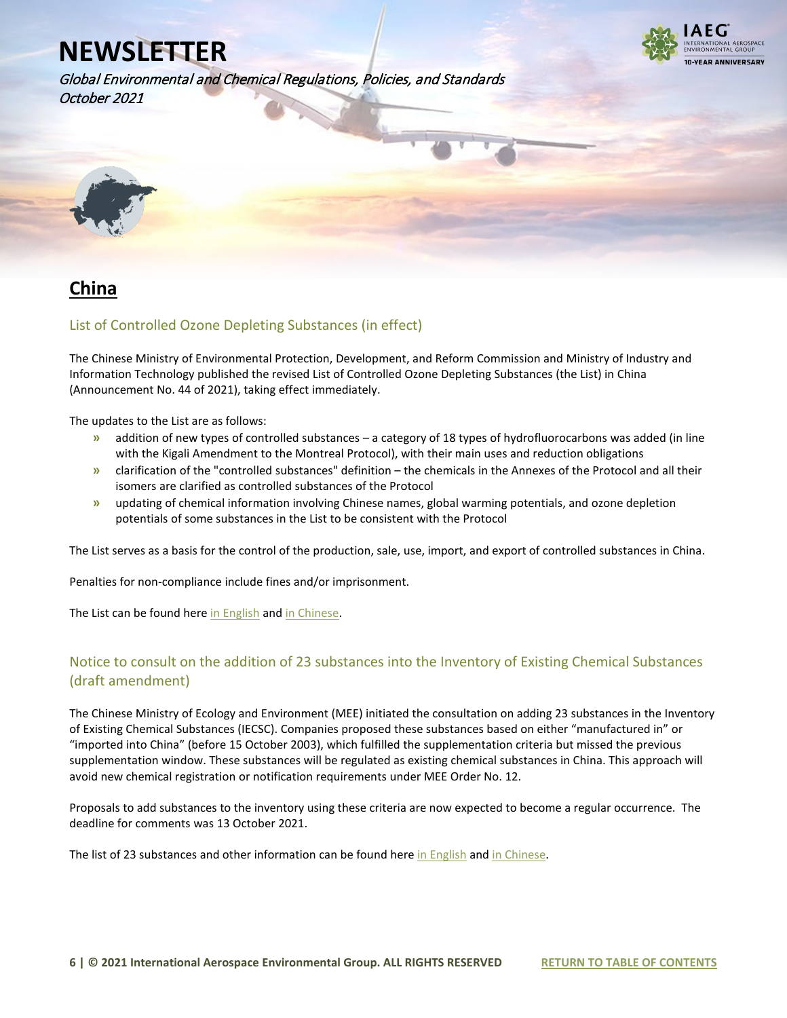Global Environmental and Chemical Regulations, Policies, and Standards October 2021



<span id="page-5-0"></span>

## **China**

### List of Controlled Ozone Depleting Substances (in effect)

The Chinese Ministry of Environmental Protection, Development, and Reform Commission and Ministry of Industry and Information Technology published the revised List of Controlled Ozone Depleting Substances (the List) in China (Announcement No. 44 of 2021), taking effect immediately.

The updates to the List are as follows:

- **»** addition of new types of controlled substances a category of 18 types of hydrofluorocarbons was added (in line with the Kigali Amendment to the Montreal Protocol), with their main uses and reduction obligations
- **»** clarification of the "controlled substances" definition the chemicals in the Annexes of the Protocol and all their isomers are clarified as controlled substances of the Protocol
- **»** updating of chemical information involving Chinese names, global warming potentials, and ozone depletion potentials of some substances in the List to be consistent with the Protocol

The List serves as a basis for the control of the production, sale, use, import, and export of controlled substances in China.

Penalties for non-compliance include fines and/or imprisonment.

The List can be found her[e in English](https://www.iaeg.com/elements/pdf/CHN_List_of_Controlled_Ozone_Depleting_Substances_english.pdf) and [in Chinese.](https://www.iaeg.com/elements/pdf/CHN_List_of_Controlled_Ozone_Depleting_Substances.pdf)

### Notice to consult on the addition of 23 substances into the Inventory of Existing Chemical Substances (draft amendment)

The Chinese Ministry of Ecology and Environment (MEE) initiated the consultation on adding 23 substances in the Inventory of Existing Chemical Substances (IECSC). Companies proposed these substances based on either "manufactured in" or "imported into China" (before 15 October 2003), which fulfilled the supplementation criteria but missed the previous supplementation window. These substances will be regulated as existing chemical substances in China. This approach will avoid new chemical registration or notification requirements under MEE Order No. 12.

Proposals to add substances to the inventory using these criteria are now expected to become a regular occurrence. The deadline for comments was 13 October 2021.

The list of 23 substances and other information can be found her[e in English](https://www.iaeg.com/elements/pdf/CHN_IECSC_Update_english.pdf) and [in Chinese.](https://www.mee.gov.cn/ywgz/gtfwyhxpgl/hxphjgl/wzml/202109/t20210926_953874.shtml)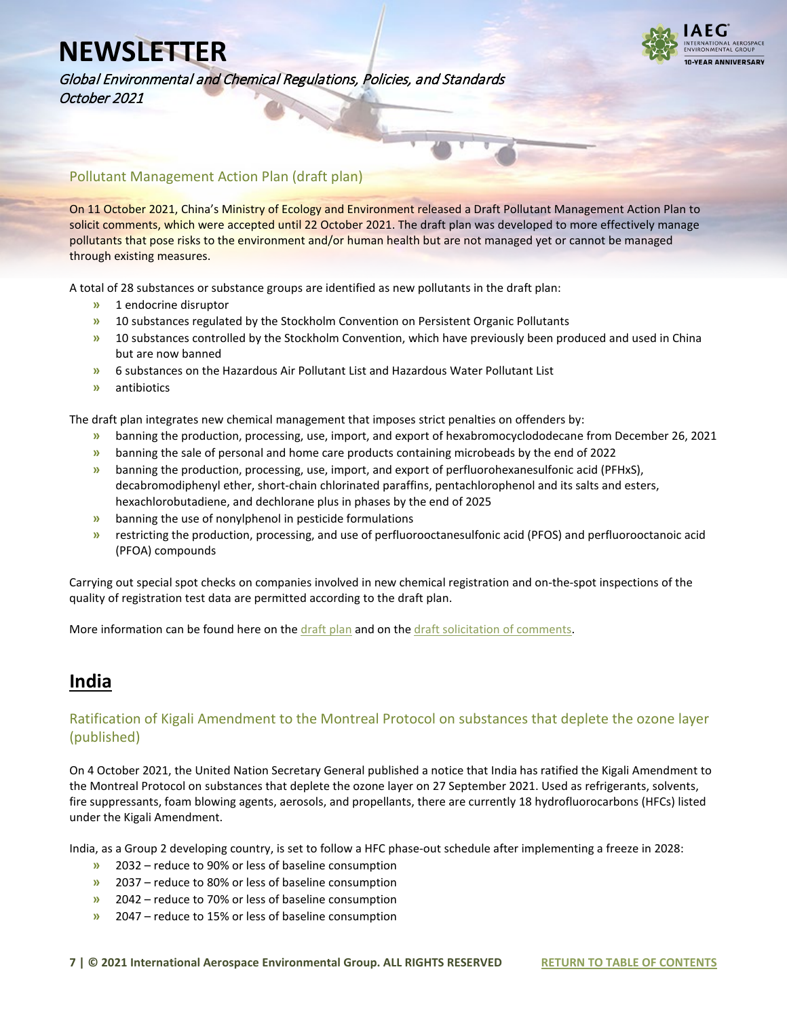

Global Environmental and Chemical Regulations, Policies, and Standards October 2021

#### Pollutant Management Action Plan (draft plan)

On 11 October 2021, China's Ministry of Ecology and Environment released a Draft Pollutant Management Action Plan to solicit comments, which were accepted until 22 October 2021. The draft plan was developed to more effectively manage pollutants that pose risks to the environment and/or human health but are not managed yet or cannot be managed through existing measures.

A total of 28 substances or substance groups are identified as new pollutants in the draft plan:

- **»** 1 endocrine disruptor
- **»** 10 substances regulated by the Stockholm Convention on Persistent Organic Pollutants
- **»** 10 substances controlled by the Stockholm Convention, which have previously been produced and used in China but are now banned
- **»** 6 substances on the Hazardous Air Pollutant List and Hazardous Water Pollutant List
- **»** antibiotics

The draft plan integrates new chemical management that imposes strict penalties on offenders by:

- **»** banning the production, processing, use, import, and export of hexabromocyclododecane from December 26, 2021
- **»** banning the sale of personal and home care products containing microbeads by the end of 2022
- **»** banning the production, processing, use, import, and export of perfluorohexanesulfonic acid (PFHxS), decabromodiphenyl ether, short-chain chlorinated paraffins, pentachlorophenol and its salts and esters, hexachlorobutadiene, and dechlorane plus in phases by the end of 2025
- **»** banning the use of nonylphenol in pesticide formulations
- **»** restricting the production, processing, and use of perfluorooctanesulfonic acid (PFOS) and perfluorooctanoic acid (PFOA) compounds

Carrying out special spot checks on companies involved in new chemical registration and on-the-spot inspections of the quality of registration test data are permitted according to the draft plan.

More information can be found here on the [draft](https://www.iaeg.com/elements/pdf/XXXChina_New_Pollutant_Management_Action_Plan_english.pdf) plan and on th[e draft solicitation](https://www.iaeg.com/elements/pdf/XXXChina_Instructions_for_New_Pollutant_Management_Action_Plan_english.pdf) of comments.

### **India**

#### Ratification of Kigali Amendment to the Montreal Protocol on substances that deplete the ozone layer (published)

On 4 October 2021, the United Nation Secretary General published a notice that India has ratified the Kigali Amendment to the Montreal Protocol on substances that deplete the ozone layer on 27 September 2021. Used as refrigerants, solvents, fire suppressants, foam blowing agents, aerosols, and propellants, there are currently 18 hydrofluorocarbons (HFCs) listed under the Kigali Amendment.

India, as a Group 2 developing country, is set to follow a HFC phase-out schedule after implementing a freeze in 2028:

- **»** 2032 reduce to 90% or less of baseline consumption
- **»** 2037 reduce to 80% or less of baseline consumption
- **»** 2042 reduce to 70% or less of baseline consumption
- **»** 2047 reduce to 15% or less of baseline consumption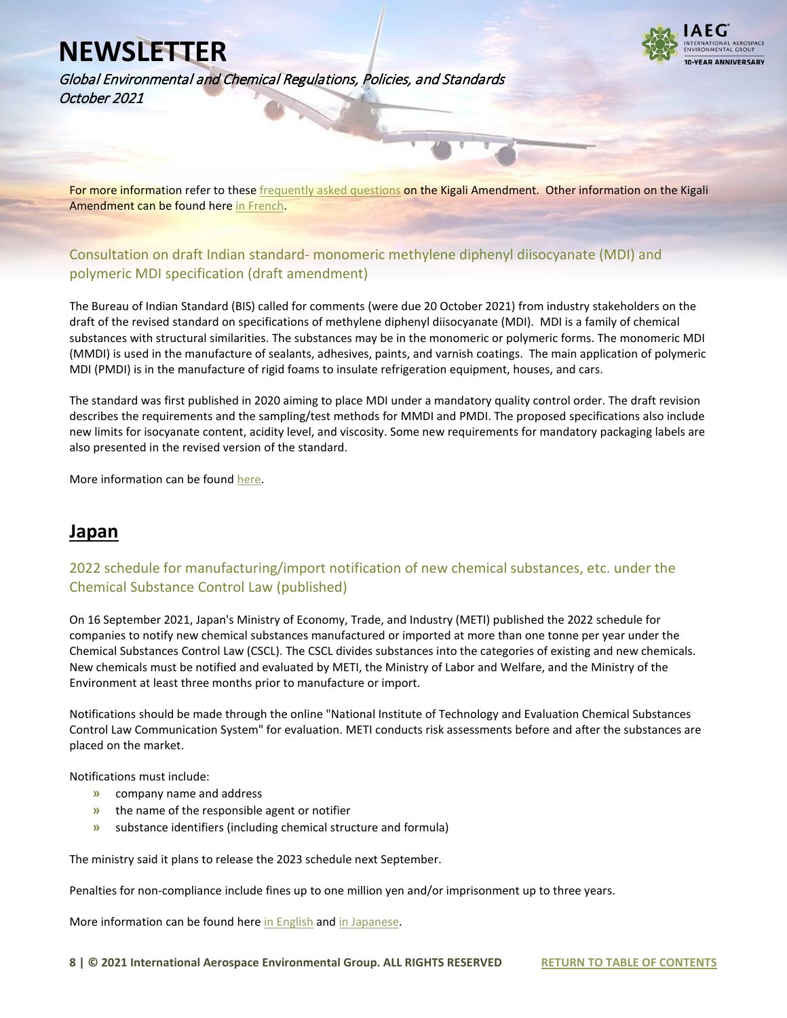Global Environmental and Chemical Regulations, Policies, and Standards October 2021



For more information refer to these *frequently asked questions* on the Kigali Amendment. Other information on the Kigali Amendment can be found her[e in French.](https://legilux.public.lu/eli/etat/leg/div/2021/09/27/a702/jo)

### Consultation on draft Indian standard- monomeric methylene diphenyl diisocyanate (MDI) and polymeric MDI specification (draft amendment)

The Bureau of Indian Standard (BIS) called for comments (were due 20 October 2021) from industry stakeholders on the draft of the revised standard on specifications of methylene diphenyl diisocyanate (MDI). MDI is a family of chemical substances with structural similarities. The substances may be in the monomeric or polymeric forms. The monomeric MDI (MMDI) is used in the manufacture of sealants, adhesives, paints, and varnish coatings. The main application of polymeric MDI (PMDI) is in the manufacture of rigid foams to insulate refrigeration equipment, houses, and cars.

The standard was first published in 2020 aiming to place MDI under a mandatory quality control order. The draft revision describes the requirements and the sampling/test methods for MMDI and PMDI. The proposed specifications also include new limits for isocyanate content, acidity level, and viscosity. Some new requirements for mandatory packaging labels are also presented in the revised version of the standard.

More information can be foun[d here.](https://www.iaeg.com/elements/pdf/IND_Revised_standard_of_MDI.pdf)

## **Japan**

### 2022 schedule for manufacturing/import notification of new chemical substances, etc. under the Chemical Substance Control Law (published)

On 16 September 2021, Japan's Ministry of Economy, Trade, and Industry (METI) published the 2022 schedule for companies to notify new chemical substances manufactured or imported at more than one tonne per year under the Chemical Substances Control Law (CSCL). The CSCL divides substances into the categories of existing and new chemicals. New chemicals must be notified and evaluated by METI, the Ministry of Labor and Welfare, and the Ministry of the Environment at least three months prior to manufacture or import.

Notifications should be made through the online "National Institute of Technology and Evaluation Chemical Substances Control Law Communication System" for evaluation. METI conducts risk assessments before and after the substances are placed on the market.

Notifications must include:

- **»** company name and address
- **»** the name of the responsible agent or notifier
- **»** substance identifiers (including chemical structure and formula)

The ministry said it plans to release the 2023 schedule next September.

Penalties for non-compliance include fines up to one million yen and/or imprisonment up to three years.

More information can be found her[e in English](https://www.iaeg.com/elements/pdf/JPN_2022_CSCL_Notification_schedule_english.pdf) an[d in Japanese.](https://www.meti.go.jp/policy/chemical_management/kasinhou/files/information/shinki/sinkikagakutodokedenittei2022.pdf)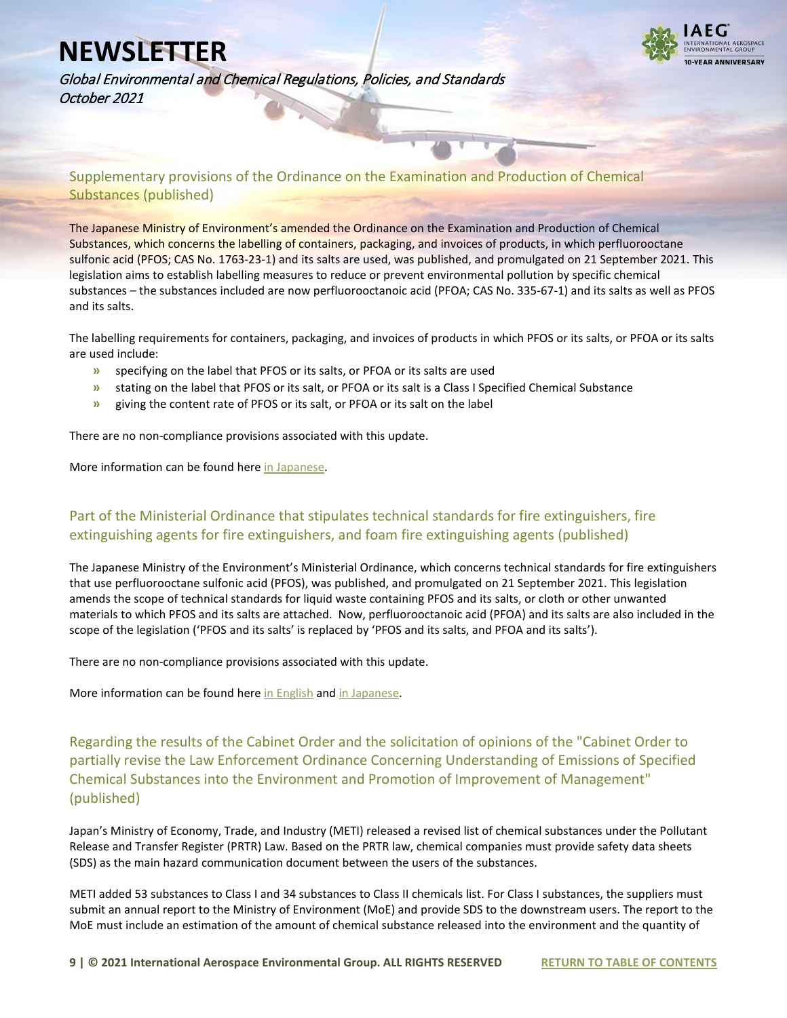

Global Environmental and Chemical Regulations, Policies, and Standards October 2021

Supplementary provisions of the Ordinance on the Examination and Production of Chemical Substances (published)

The Japanese Ministry of Environment's amended the Ordinance on the Examination and Production of Chemical Substances, which concerns the labelling of containers, packaging, and invoices of products, in which perfluorooctane sulfonic acid (PFOS; CAS No. 1763-23-1) and its salts are used, was published, and promulgated on 21 September 2021. This legislation aims to establish labelling measures to reduce or prevent environmental pollution by specific chemical substances – the substances included are now perfluorooctanoic acid (PFOA; CAS No. 335-67-1) and its salts as well as PFOS and its salts.

The labelling requirements for containers, packaging, and invoices of products in which PFOS or its salts, or PFOA or its salts are used include:

- **»** specifying on the label that PFOS or its salts, or PFOA or its salts are used
- **»** stating on the label that PFOS or its salt, or PFOA or its salt is a Class I Specified Chemical Substance
- **»** giving the content rate of PFOS or its salt, or PFOA or its salt on the label

There are no non-compliance provisions associated with this update.

More information can be found her[e in Japanese.](https://www.iaeg.com/elements/pdf/XXXJPN_Supplementary_provisions_of_the_Ordinance_on_the_Examination_and_Production_of_Chemical_Substances.pdf)

### Part of the Ministerial Ordinance that stipulates technical standards for fire extinguishers, fire extinguishing agents for fire extinguishers, and foam fire extinguishing agents (published)

The Japanese Ministry of the Environment's Ministerial Ordinance, which concerns technical standards for fire extinguishers that use perfluorooctane sulfonic acid (PFOS), was published, and promulgated on 21 September 2021. This legislation amends the scope of technical standards for liquid waste containing PFOS and its salts, or cloth or other unwanted materials to which PFOS and its salts are attached. Now, perfluorooctanoic acid (PFOA) and its salts are also included in the scope of the legislation ('PFOS and its salts' is replaced by 'PFOS and its salts, and PFOA and its salts').

There are no non-compliance provisions associated with this update.

More information can be found her[e in English](https://www.iaeg.com/elements/pdf/JPN_Ordinance_amending_technical_standards_for_fire_extinguishers.pdf) an[d in Japanese.](https://www.iaeg.com/elements/pdf/XXXJPN_Part_of_the_Ministerial_Ordinance_that_stipulates_technical_standards_for_fire_extinguishers.pdf)

Regarding the results of the Cabinet Order and the solicitation of opinions of the "Cabinet Order to partially revise the Law Enforcement Ordinance Concerning Understanding of Emissions of Specified Chemical Substances into the Environment and Promotion of Improvement of Management" (published)

Japan's Ministry of Economy, Trade, and Industry (METI) released a revised list of chemical substances under the Pollutant Release and Transfer Register (PRTR) Law. Based on the PRTR law, chemical companies must provide safety data sheets (SDS) as the main hazard communication document between the users of the substances.

METI added 53 substances to Class I and 34 substances to Class II chemicals list. For Class I substances, the suppliers must submit an annual report to the Ministry of Environment (MoE) and provide SDS to the downstream users. The report to the MoE must include an estimation of the amount of chemical substance released into the environment and the quantity of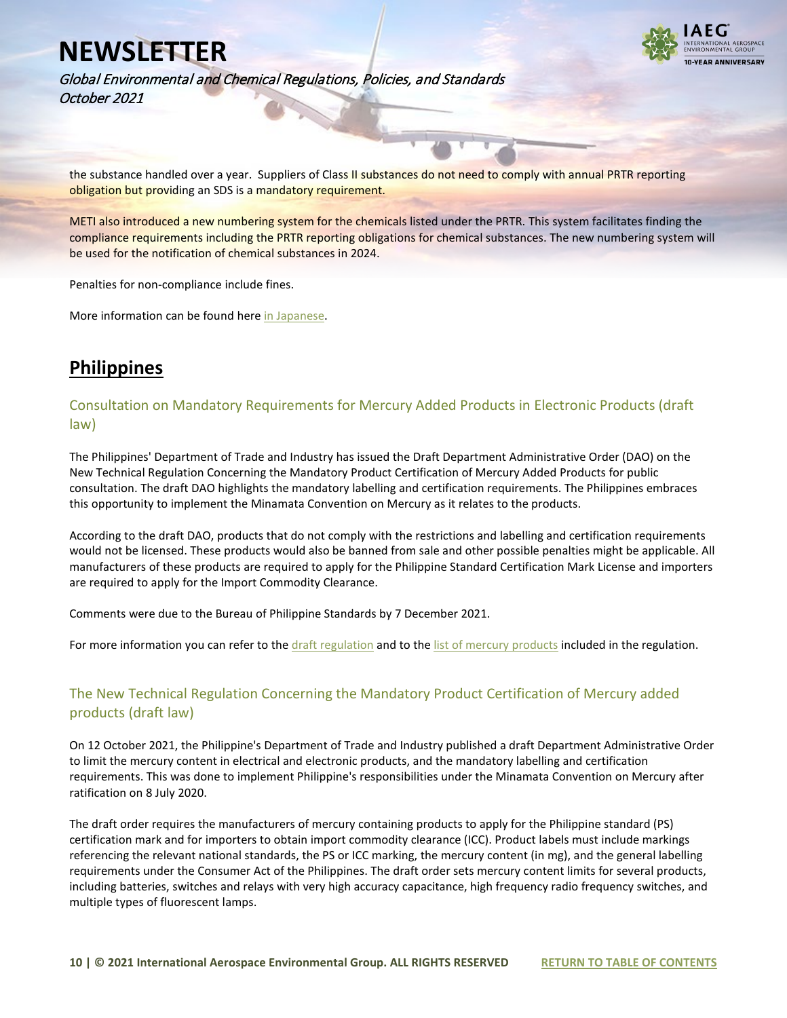

Global Environmental and Chemical Regulations, Policies, and Standards October 2021

the substance handled over a year. Suppliers of Class II substances do not need to comply with annual PRTR reporting obligation but providing an SDS is a mandatory requirement.

METI also introduced a new numbering system for the chemicals listed under the PRTR. This system facilitates finding the compliance requirements including the PRTR reporting obligations for chemical substances. The new numbering system will be used for the notification of chemical substances in 2024.

Penalties for non-compliance include fines.

More information can be found her[e in Japanese.](https://www.meti.go.jp/policy/chemical_management/law/prtr/seirei4.html) 

## **Philippines**

Consultation on Mandatory Requirements for Mercury Added Products in Electronic Products (draft law)

The Philippines' Department of Trade and Industry has issued the Draft Department Administrative Order (DAO) on the New Technical Regulation Concerning the Mandatory Product Certification of Mercury Added Products for public consultation. The draft DAO highlights the mandatory labelling and certification requirements. The Philippines embraces this opportunity to implement the Minamata Convention on Mercury as it relates to the products.

According to the draft DAO, products that do not comply with the restrictions and labelling and certification requirements would not be licensed. These products would also be banned from sale and other possible penalties might be applicable. All manufacturers of these products are required to apply for the Philippine Standard Certification Mark License and importers are required to apply for the Import Commodity Clearance.

Comments were due to the Bureau of Philippine Standards by 7 December 2021.

For more information you can refer to the [draft regulation](https://www.iaeg.com/elements/pdf/XXXPHL_Draft_Regulation_Product_Certification_Mercury_english.pdf) and to th[e list of mercury products](https://www.iaeg.com/elements/pdf/XXXPHL_Draft_Regulation_Product_Certification_Mercury-Product_List_english.pdf) included in the regulation.

### The New Technical Regulation Concerning the Mandatory Product Certification of Mercury added products (draft law)

On 12 October 2021, the Philippine's Department of Trade and Industry published a draft Department Administrative Order to limit the mercury content in electrical and electronic products, and the mandatory labelling and certification requirements. This was done to implement Philippine's responsibilities under the Minamata Convention on Mercury after ratification on 8 July 2020.

The draft order requires the manufacturers of mercury containing products to apply for the Philippine standard (PS) certification mark and for importers to obtain import commodity clearance (ICC). Product labels must include markings referencing the relevant national standards, the PS or ICC marking, the mercury content (in mg), and the general labelling requirements under the Consumer Act of the Philippines. The draft order sets mercury content limits for several products, including batteries, switches and relays with very high accuracy capacitance, high frequency radio frequency switches, and multiple types of fluorescent lamps.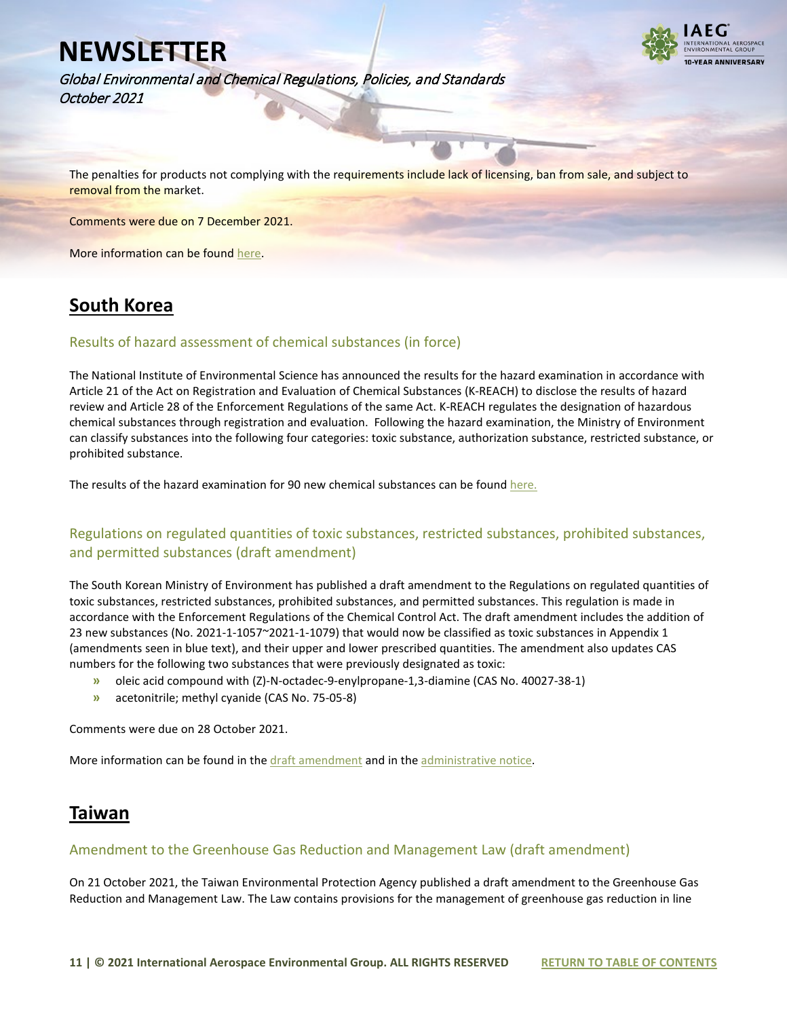

Global Environmental and Chemical Regulations, Policies, and Standards October 2021

The penalties for products not complying with the requirements include lack of licensing, ban from sale, and subject to removal from the market.

Comments were due on 7 December 2021.

More information can be foun[d here.](https://www.iaeg.com/elements/pdf/XXXPHL_Draft_Regulation_Product_Certification_Mercury_english.pdf)

## **South Korea**

#### Results of hazard assessment of chemical substances (in force)

The National Institute of Environmental Science has announced the results for the hazard examination in accordance with Article 21 of the Act on Registration and Evaluation of Chemical Substances (K-REACH) to disclose the results of hazard review and Article 28 of the Enforcement Regulations of the same Act. K-REACH regulates the designation of hazardous chemical substances through registration and evaluation. Following the hazard examination, the Ministry of Environment can classify substances into the following four categories: toxic substance, authorization substance, restricted substance, or prohibited substance.

The results of the hazard examination for 90 new chemical substances can be found here.

#### Regulations on regulated quantities of toxic substances, restricted substances, prohibited substances, and permitted substances (draft amendment)

The South Korean Ministry of Environment has published a draft amendment to the Regulations on regulated quantities of toxic substances, restricted substances, prohibited substances, and permitted substances. This regulation is made in accordance with the Enforcement Regulations of the Chemical Control Act. The draft amendment includes the addition of 23 new substances (No. 2021-1-1057~2021-1-1079) that would now be classified as toxic substances in Appendix 1 (amendments seen in blue text), and their upper and lower prescribed quantities. The amendment also updates CAS numbers for the following two substances that were previously designated as toxic:

- **»** oleic acid compound with (Z)-N-octadec-9-enylpropane-1,3-diamine (CAS No. 40027-38-1)
- **»** acetonitrile; methyl cyanide (CAS No. 75-05-8)

Comments were due on 28 October 2021.

More information can be found in th[e draft amendment](https://www.iaeg.com/elements/pdf/KOR_Draft_amendment_to_regulation_of_regulated_quantities_english.pdf) and in th[e administrative notice.](https://www.iaeg.com/elements/pdf/KOR_Admin_notice_for_draft_amendment_to_regulation_of_regulated_quantities_english.pdf)

### **Taiwan**

#### Amendment to the Greenhouse Gas Reduction and Management Law (draft amendment)

On 21 October 2021, the Taiwan Environmental Protection Agency published a draft amendment to the Greenhouse Gas Reduction and Management Law. The Law contains provisions for the management of greenhouse gas reduction in line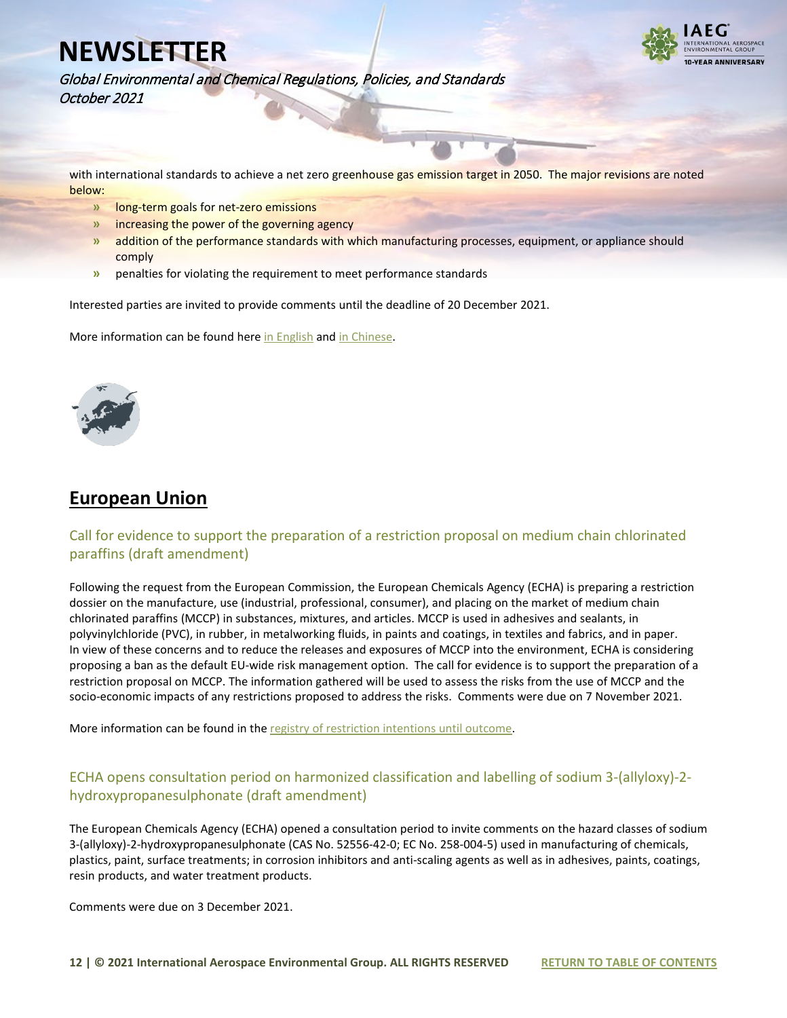

Global Environmental and Chemical Regulations, Policies, and Standards October 2021

with international standards to achieve a net zero greenhouse gas emission target in 2050. The major revisions are noted below:

- **»** long-term goals for net-zero emissions
- **»** increasing the power of the governing agency
- **»** addition of the performance standards with which manufacturing processes, equipment, or appliance should comply
- **»** penalties for violating the requirement to meet performance standards

Interested parties are invited to provide comments until the deadline of 20 December 2021.

More information can be found her[e in English](https://www.iaeg.com/elements/pdf/XXXTWN_Draft_Amendment_to_GHG_Reduction_and_Management_Law.pdf) an[d in Chinese.](https://join.gov.tw/policies/detail/01d4d1cc-d3d1-41f7-acec-aa5042bdaddb) 

<span id="page-11-0"></span>

## **European Union**

### Call for evidence to support the preparation of a restriction proposal on medium chain chlorinated paraffins (draft amendment)

Following the request from the European Commission, the European Chemicals Agency (ECHA) is preparing a restriction dossier on the manufacture, use (industrial, professional, consumer), and placing on the market of medium chain chlorinated paraffins (MCCP) in substances, mixtures, and articles. MCCP is used in adhesives and sealants, in polyvinylchloride (PVC), in rubber, in metalworking fluids, in paints and coatings, in textiles and fabrics, and in paper. In view of these concerns and to reduce the releases and exposures of MCCP into the environment, ECHA is considering proposing a ban as the default EU-wide risk management option. The call for evidence is to support the preparation of a restriction proposal on MCCP. The information gathered will be used to assess the risks from the use of MCCP and the socio-economic impacts of any restrictions proposed to address the risks. Comments were due on 7 November 2021.

More information can be found in the registry of restriction intentions until outcome.

### ECHA opens consultation period on harmonized classification and labelling of sodium 3-(allyloxy)-2 hydroxypropanesulphonate (draft amendment)

The European Chemicals Agency (ECHA) opened a consultation period to invite comments on the hazard classes of sodium 3-(allyloxy)-2-hydroxypropanesulphonate (CAS No. 52556-42-0; EC No. 258-004-5) used in manufacturing of chemicals, plastics, paint, surface treatments; in corrosion inhibitors and anti-scaling agents as well as in adhesives, paints, coatings, resin products, and water treatment products.

Comments were due on 3 December 2021.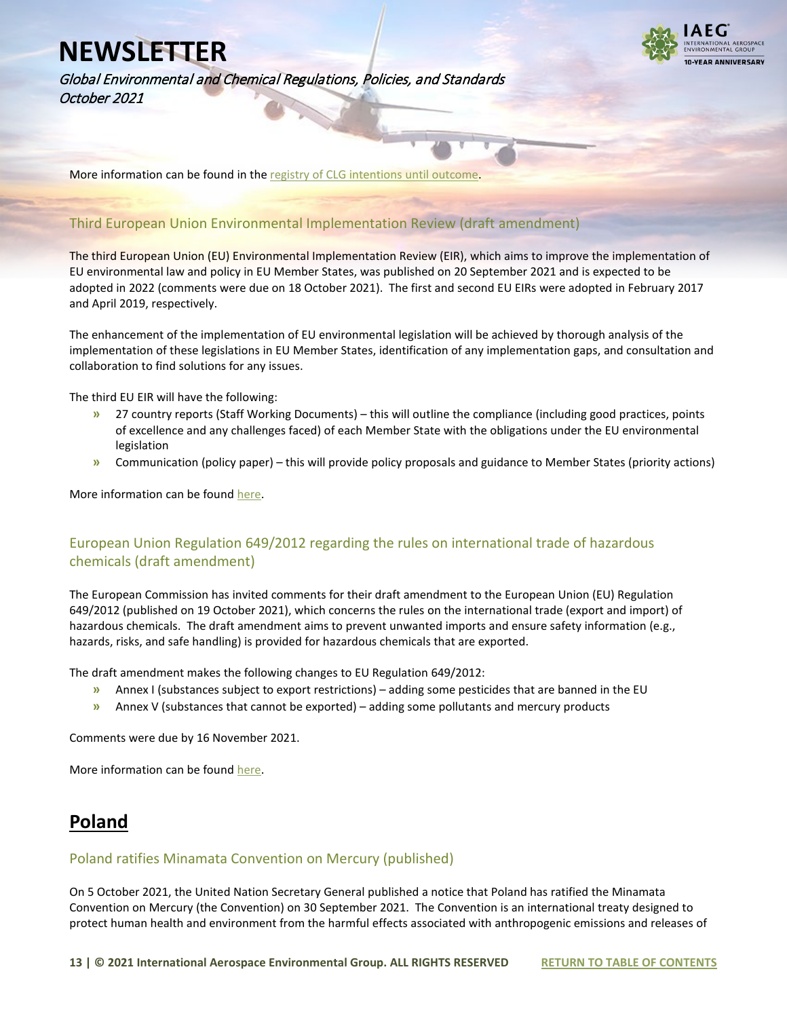

Global Environmental and Chemical Regulations, Policies, and Standards October 2021

More information can be found in th[e registry of CLG intentions until outcome.](https://echa.europa.eu/registry-of-clh-intentions-until-outcome/-/dislist/details/0b0236e1850909ff) 

### Third European Union Environmental Implementation Review (draft amendment)

The third European Union (EU) Environmental Implementation Review (EIR), which aims to improve the implementation of EU environmental law and policy in EU Member States, was published on 20 September 2021 and is expected to be adopted in 2022 (comments were due on 18 October 2021). The first and second EU EIRs were adopted in February 2017 and April 2019, respectively.

The enhancement of the implementation of EU environmental legislation will be achieved by thorough analysis of the implementation of these legislations in EU Member States, identification of any implementation gaps, and consultation and collaboration to find solutions for any issues.

The third EU EIR will have the following:

- **»** 27 country reports (Staff Working Documents) this will outline the compliance (including good practices, points of excellence and any challenges faced) of each Member State with the obligations under the EU environmental legislation
- **»** Communication (policy paper) this will provide policy proposals and guidance to Member States (priority actions)

More information can be foun[d here.](https://ec.europa.eu/info/law/better-regulation/have-your-say/initiatives/13103-EU-environmental-law-implementation-review-2022_en)

### European Union Regulation 649/2012 regarding the rules on international trade of hazardous chemicals (draft amendment)

The European Commission has invited comments for their draft amendment to the European Union (EU) Regulation 649/2012 (published on 19 October 2021), which concerns the rules on the international trade (export and import) of hazardous chemicals. The draft amendment aims to prevent unwanted imports and ensure safety information (e.g., hazards, risks, and safe handling) is provided for hazardous chemicals that are exported.

The draft amendment makes the following changes to EU Regulation 649/2012:

- **»** Annex I (substances subject to export restrictions) adding some pesticides that are banned in the EU
- **»** Annex V (substances that cannot be exported) adding some pollutants and mercury products

Comments were due by 16 November 2021.

More information can be foun[d here.](https://ec.europa.eu/info/law/better-regulation/have-your-say/initiatives/12509-Hazardous-chemicals-rules-on-export-and-import-update-_en)

## **Poland**

#### Poland ratifies Minamata Convention on Mercury (published)

On 5 October 2021, the United Nation Secretary General published a notice that Poland has ratified the Minamata Convention on Mercury (the Convention) on 30 September 2021. The Convention is an international treaty designed to protect human health and environment from the harmful effects associated with anthropogenic emissions and releases of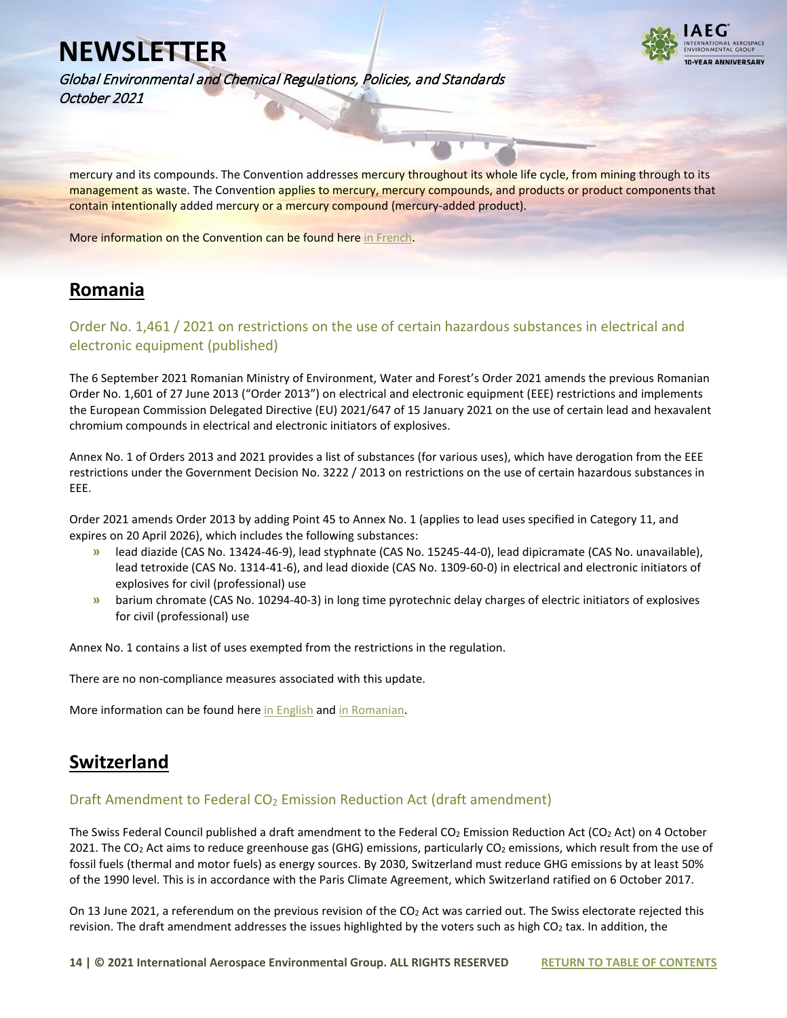

Global Environmental and Chemical Regulations, Policies, and Standards October 2021

mercury and its compounds. The Convention addresses mercury throughout its whole life cycle, from mining through to its management as waste. The Convention applies to mercury, mercury compounds, and products or product components that contain intentionally added mercury or a mercury compound (mercury-added product).

More information on the Convention can be found here [in French.](https://legilux.public.lu/eli/etat/leg/div/2021/09/30/a706/jo)

## **Romania**

### Order No. 1,461 / 2021 on restrictions on the use of certain hazardous substances in electrical and electronic equipment (published)

The 6 September 2021 Romanian Ministry of Environment, Water and Forest's Order 2021 amends the previous Romanian Order No. 1,601 of 27 June 2013 ("Order 2013") on electrical and electronic equipment (EEE) restrictions and implements the European Commission Delegated Directive (EU) 2021/647 of 15 January 2021 on the use of certain lead and hexavalent chromium compounds in electrical and electronic initiators of explosives.

Annex No. 1 of Orders 2013 and 2021 provides a list of substances (for various uses), which have derogation from the EEE restrictions under the Government Decision No. 3222 / 2013 on restrictions on the use of certain hazardous substances in EEE.

Order 2021 amends Order 2013 by adding Point 45 to Annex No. 1 (applies to lead uses specified in Category 11, and expires on 20 April 2026), which includes the following substances:

- **»** lead diazide (CAS No. 13424-46-9), lead styphnate (CAS No. 15245-44-0), lead dipicramate (CAS No. unavailable), lead tetroxide (CAS No. 1314-41-6), and lead dioxide (CAS No. 1309-60-0) in electrical and electronic initiators of explosives for civil (professional) use
- **»** barium chromate (CAS No. 10294-40-3) in long time pyrotechnic delay charges of electric initiators of explosives for civil (professional) use

Annex No. 1 contains a list of uses exempted from the restrictions in the regulation.

There are no non-compliance measures associated with this update.

More information can be found her[e in English](https://www.iaeg.com/elements/pdf/ROM_Order_No_1461_of_2021_english.pdf) an[d in Romanian.](https://www.iaeg.com/elements/pdf/ROM_Order_No_1461_of_2021.pdf)

## **Switzerland**

#### Draft Amendment to Federal  $CO<sub>2</sub>$  Emission Reduction Act (draft amendment)

The Swiss Federal Council published a draft amendment to the Federal CO<sub>2</sub> Emission Reduction Act (CO<sub>2</sub> Act) on 4 October 2021. The CO<sub>2</sub> Act aims to reduce greenhouse gas (GHG) emissions, particularly CO<sub>2</sub> emissions, which result from the use of fossil fuels (thermal and motor fuels) as energy sources. By 2030, Switzerland must reduce GHG emissions by at least 50% of the 1990 level. This is in accordance with the Paris Climate Agreement, which Switzerland ratified on 6 October 2017.

On 13 June 2021, a referendum on the previous revision of the CO<sub>2</sub> Act was carried out. The Swiss electorate rejected this revision. The draft amendment addresses the issues highlighted by the voters such as high CO<sub>2</sub> tax. In addition, the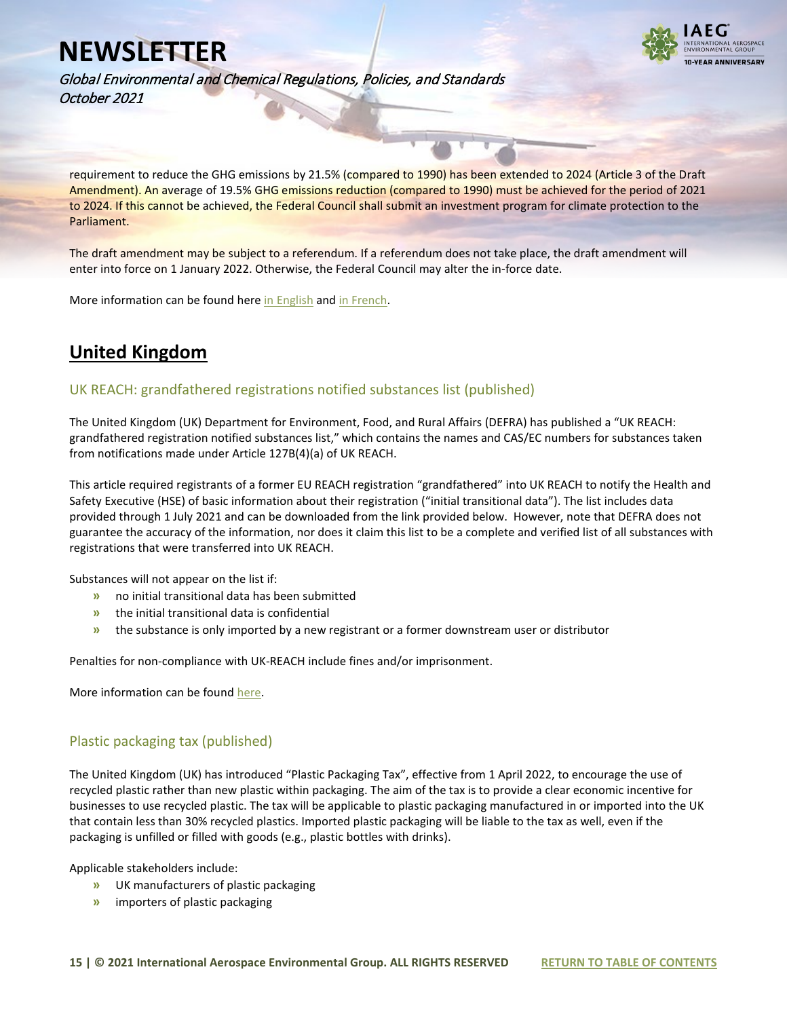

Global Environmental and Chemical Regulations, Policies, and Standards October 2021

requirement to reduce the GHG emissions by 21.5% (compared to 1990) has been extended to 2024 (Article 3 of the Draft Amendment). An average of 19.5% GHG emissions reduction (compared to 1990) must be achieved for the period of 2021 to 2024. If this cannot be achieved, the Federal Council shall submit an investment program for climate protection to the Parliament.

The draft amendment may be subject to a referendum. If a referendum does not take place, the draft amendment will enter into force on 1 January 2022. Otherwise, the Federal Council may alter the in-force date.

More information can be found her[e in English](https://www.iaeg.com/elements/pdf/CHE_Draft_Amendment_to_CO2_Act_english.pdf) and in French.

## **United Kingdom**

#### UK REACH: grandfathered registrations notified substances list (published)

The United Kingdom (UK) Department for Environment, Food, and Rural Affairs (DEFRA) has published a "UK REACH: grandfathered registration notified substances list," which contains the names and CAS/EC numbers for substances taken from notifications made under Article 127B(4)(a) of UK REACH.

This article required registrants of a former EU REACH registration "grandfathered" into UK REACH to notify the Health and Safety Executive (HSE) of basic information about their registration ("initial transitional data"). The list includes data provided through 1 July 2021 and can be downloaded from the link provided below. However, note that DEFRA does not guarantee the accuracy of the information, nor does it claim this list to be a complete and verified list of all substances with registrations that were transferred into UK REACH.

Substances will not appear on the list if:

- **»** no initial transitional data has been submitted
- **»** the initial transitional data is confidential
- **»** the substance is only imported by a new registrant or a former downstream user or distributor

Penalties for non-compliance with UK-REACH include fines and/or imprisonment.

More information can be foun[d here.](https://www.gov.uk/government/publications/uk-reach-grandfathered-registrations-notified-substances-list?utm_source=govdelivery&utm_medium=email&utm_campaign=chemicals-guidance-hse&utm_term=duin-1&utm_content=reach-1-oct-21)

#### Plastic packaging tax (published)

The United Kingdom (UK) has introduced "Plastic Packaging Tax", effective from 1 April 2022, to encourage the use of recycled plastic rather than new plastic within packaging. The aim of the tax is to provide a clear economic incentive for businesses to use recycled plastic. The tax will be applicable to plastic packaging manufactured in or imported into the UK that contain less than 30% recycled plastics. Imported plastic packaging will be liable to the tax as well, even if the packaging is unfilled or filled with goods (e.g., plastic bottles with drinks).

Applicable stakeholders include:

- **»** UK manufacturers of plastic packaging
- **»** importers of plastic packaging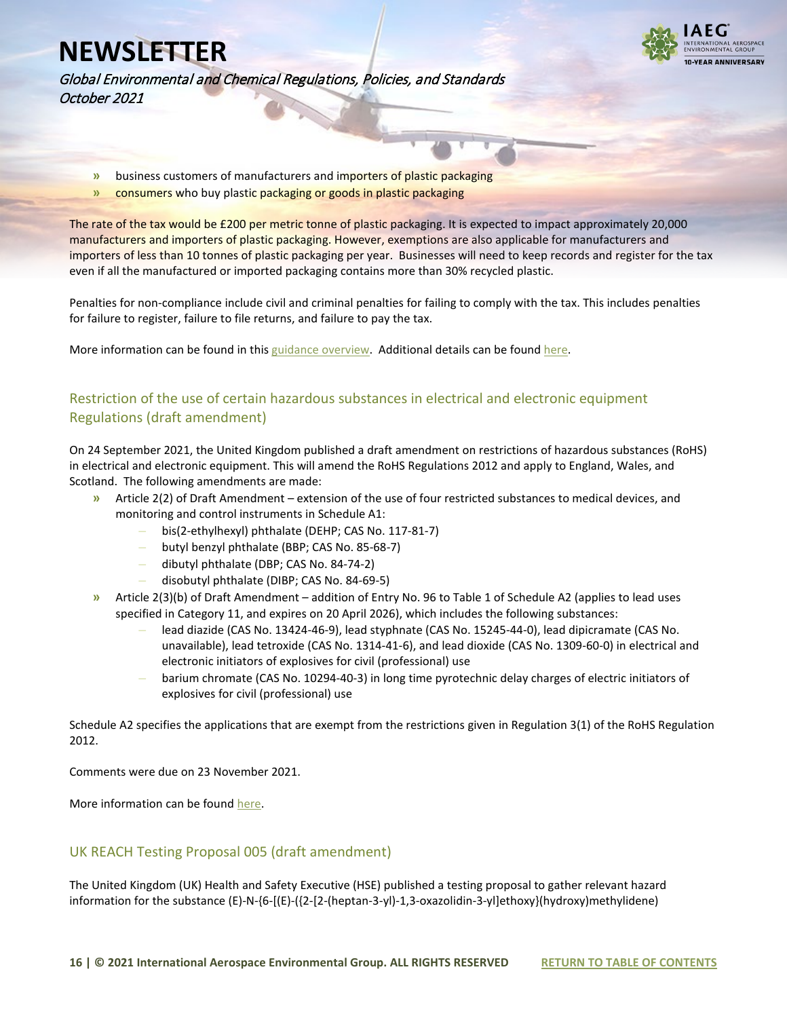

Global Environmental and Chemical Regulations, Policies, and Standards October 2021

- **»** business customers of manufacturers and importers of plastic packaging
- **»** consumers who buy plastic packaging or goods in plastic packaging

The rate of the tax would be £200 per metric tonne of plastic packaging. It is expected to impact approximately 20,000 manufacturers and importers of plastic packaging. However, exemptions are also applicable for manufacturers and importers of less than 10 tonnes of plastic packaging per year. Businesses will need to keep records and register for the tax even if all the manufactured or imported packaging contains more than 30% recycled plastic.

Penalties for non-compliance include civil and criminal penalties for failing to comply with the tax. This includes penalties for failure to register, failure to file returns, and failure to pay the tax.

More information can be found in this [guidance overview.](https://www.gov.uk/government/publications/get-your-business-ready-for-the-plastic-packaging-tax) Additional details can be found [here.](https://www.gov.uk/government/publications/get-your-business-ready-for-the-plastic-packaging-tax/further-information-for-businesses#about-registration)

### Restriction of the use of certain hazardous substances in electrical and electronic equipment Regulations (draft amendment)

On 24 September 2021, the United Kingdom published a draft amendment on restrictions of hazardous substances (RoHS) in electrical and electronic equipment. This will amend the RoHS Regulations 2012 and apply to England, Wales, and Scotland. The following amendments are made:

- **»** Article 2(2) of Draft Amendment extension of the use of four restricted substances to medical devices, and monitoring and control instruments in Schedule A1:
	- **–** bis(2-ethylhexyl) phthalate (DEHP; CAS No. 117-81-7)
	- **–** butyl benzyl phthalate (BBP; CAS No. 85-68-7)
	- **–** dibutyl phthalate (DBP; CAS No. 84-74-2)
	- **–** disobutyl phthalate (DIBP; CAS No. 84-69-5)
- **»** Article 2(3)(b) of Draft Amendment addition of Entry No. 96 to Table 1 of Schedule A2 (applies to lead uses specified in Category 11, and expires on 20 April 2026), which includes the following substances:
	- **–** lead diazide (CAS No. 13424-46-9), lead styphnate (CAS No. 15245-44-0), lead dipicramate (CAS No. unavailable), lead tetroxide (CAS No. 1314-41-6), and lead dioxide (CAS No. 1309-60-0) in electrical and electronic initiators of explosives for civil (professional) use
	- **–** barium chromate (CAS No. 10294-40-3) in long time pyrotechnic delay charges of electric initiators of explosives for civil (professional) use

Schedule A2 specifies the applications that are exempt from the restrictions given in Regulation 3(1) of the RoHS Regulation 2012.

Comments were due on 23 November 2021.

More information can be foun[d here.](https://www.iaeg.com/elements/pdf/UK_RoHS_Regulation_Amendment_2021.pdf)

### UK REACH Testing Proposal 005 (draft amendment)

The United Kingdom (UK) Health and Safety Executive (HSE) published a testing proposal to gather relevant hazard information for the substance (E)-N-{6-[(E)-({2-[2-(heptan-3-yl)-1,3-oxazolidin-3-yl]ethoxy}(hydroxy)methylidene)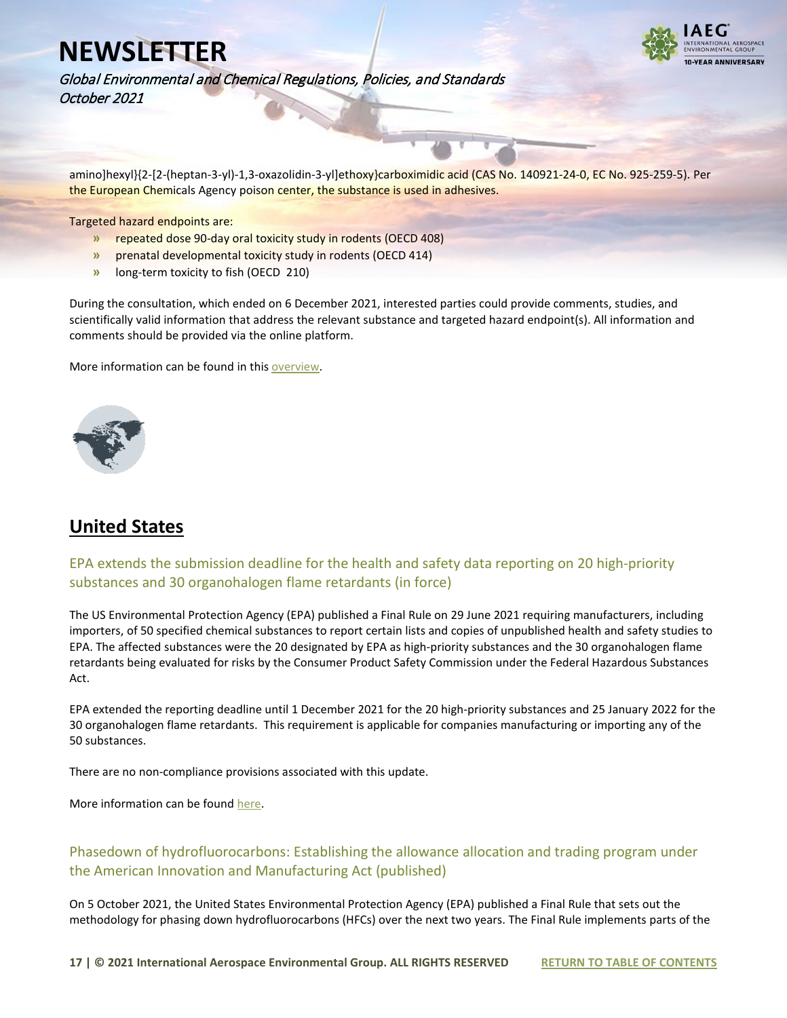

Global Environmental and Chemical Regulations, Policies, and Standards October 2021

amino]hexyl}{2-[2-(heptan-3-yl)-1,3-oxazolidin-3-yl]ethoxy}carboximidic acid (CAS No. 140921-24-0, EC No. 925-259-5). Per the European Chemicals Agency poison center, the substance is used in adhesives.

Targeted hazard endpoints are:

- **»** repeated dose 90-day oral toxicity study in rodents (OECD 408)
- **»** prenatal developmental toxicity study in rodents (OECD 414)
- **»** long-term toxicity to fish (OECD 210)

During the consultation, which ended on 6 December 2021, interested parties could provide comments, studies, and scientifically valid information that address the relevant substance and targeted hazard endpoint(s). All information and comments should be provided via the online platform.

More information can be found in thi[s overview.](https://consultations.hse.gov.uk/crd-reach/testing-proposal-005/?utm_source=govdelivery&utm_medium=email&utm_campaign=chemicals-guidance&utm_term=consultation&utm_content=reach-22-oct-21)

<span id="page-16-0"></span>

## **United States**

### EPA extends the submission deadline for the health and safety data reporting on 20 high-priority substances and 30 organohalogen flame retardants (in force)

The US Environmental Protection Agency (EPA) published a Final Rule on 29 June 2021 requiring manufacturers, including importers, of 50 specified chemical substances to report certain lists and copies of unpublished health and safety studies to EPA. The affected substances were the 20 designated by EPA as high-priority substances and the 30 organohalogen flame retardants being evaluated for risks by the Consumer Product Safety Commission under the Federal Hazardous Substances Act.

EPA extended the reporting deadline until 1 December 2021 for the 20 high-priority substances and 25 January 2022 for the 30 organohalogen flame retardants. This requirement is applicable for companies manufacturing or importing any of the 50 substances.

There are no non-compliance provisions associated with this update.

More information can be foun[d here.](https://www.govinfo.gov/content/pkg/FR-2021-10-01/pdf/2021-21164.pdf)

### Phasedown of hydrofluorocarbons: Establishing the allowance allocation and trading program under the American Innovation and Manufacturing Act (published)

On 5 October 2021, the United States Environmental Protection Agency (EPA) published a Final Rule that sets out the methodology for phasing down hydrofluorocarbons (HFCs) over the next two years. The Final Rule implements parts of the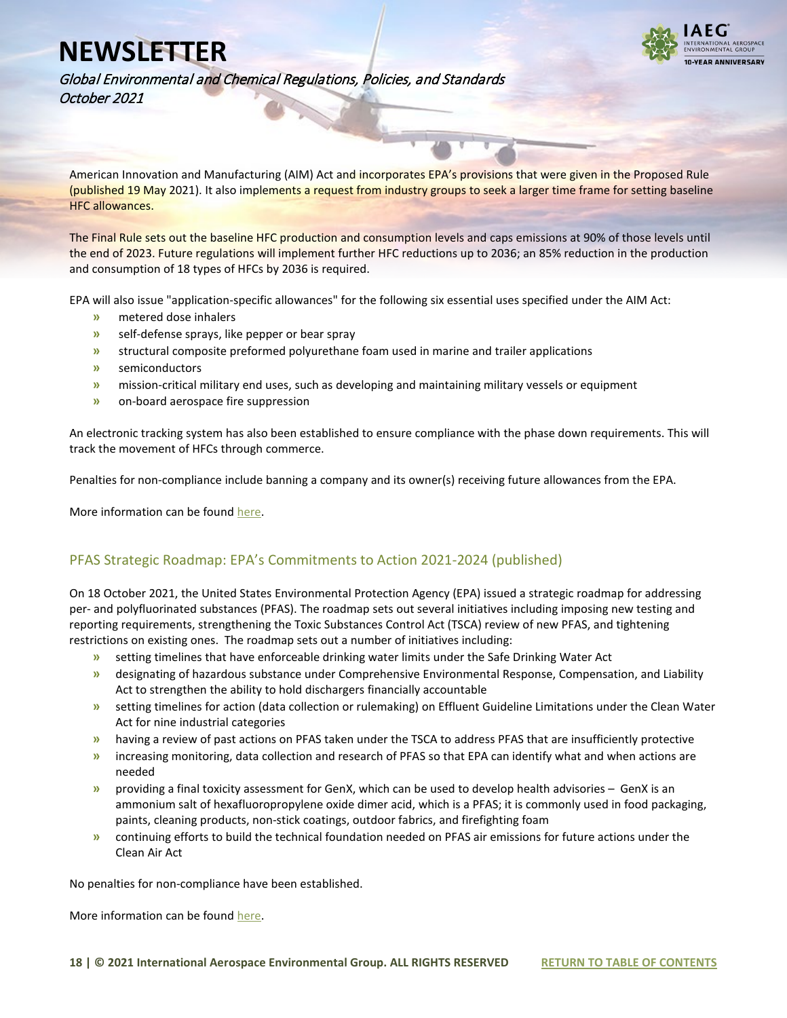

Global Environmental and Chemical Regulations, Policies, and Standards October 2021

American Innovation and Manufacturing (AIM) Act and incorporates EPA's provisions that were given in the Proposed Rule (published 19 May 2021). It also implements a request from industry groups to seek a larger time frame for setting baseline HFC allowances.

The Final Rule sets out the baseline HFC production and consumption levels and caps emissions at 90% of those levels until the end of 2023. Future regulations will implement further HFC reductions up to 2036; an 85% reduction in the production and consumption of 18 types of HFCs by 2036 is required.

EPA will also issue "application-specific allowances" for the following six essential uses specified under the AIM Act:

- **»** metered dose inhalers
- **»** self-defense sprays, like pepper or bear spray
- **»** structural composite preformed polyurethane foam used in marine and trailer applications
- **»** semiconductors
- **»** mission-critical military end uses, such as developing and maintaining military vessels or equipment
- **»** on-board aerospace fire suppression

An electronic tracking system has also been established to ensure compliance with the phase down requirements. This will track the movement of HFCs through commerce.

Penalties for non-compliance include banning a company and its owner(s) receiving future allowances from the EPA.

More information can be foun[d here.](https://www.federalregister.gov/documents/2021/10/05/2021-21030/phasedown-of-hydrofluorocarbons-establishing-the-allowance-allocation-and-trading-program-under-the)

### PFAS Strategic Roadmap: EPA's Commitments to Action 2021-2024 (published)

On 18 October 2021, the United States Environmental Protection Agency (EPA) issued a strategic roadmap for addressing per- and polyfluorinated substances (PFAS). The roadmap sets out several initiatives including imposing new testing and reporting requirements, strengthening the Toxic Substances Control Act (TSCA) review of new PFAS, and tightening restrictions on existing ones. The roadmap sets out a number of initiatives including:

- **»** setting timelines that have enforceable drinking water limits under the Safe Drinking Water Act
- **»** designating of hazardous substance under Comprehensive Environmental Response, Compensation, and Liability Act to strengthen the ability to hold dischargers financially accountable
- **»** setting timelines for action (data collection or rulemaking) on Effluent Guideline Limitations under the Clean Water Act for nine industrial categories
- **»** having a review of past actions on PFAS taken under the TSCA to address PFAS that are insufficiently protective
- **»** increasing monitoring, data collection and research of PFAS so that EPA can identify what and when actions are needed
- **»** providing a final toxicity assessment for GenX, which can be used to develop health advisories GenX is an ammonium salt of hexafluoropropylene oxide dimer acid, which is a PFAS; it is commonly used in food packaging, paints, cleaning products, non-stick coatings, outdoor fabrics, and firefighting foam
- **»** continuing efforts to build the technical foundation needed on PFAS air emissions for future actions under the Clean Air Act

No penalties for non-compliance have been established.

More information can be foun[d here.](https://www.epa.gov/pfas/pfas-strategic-roadmap-epas-commitments-action-2021-2024)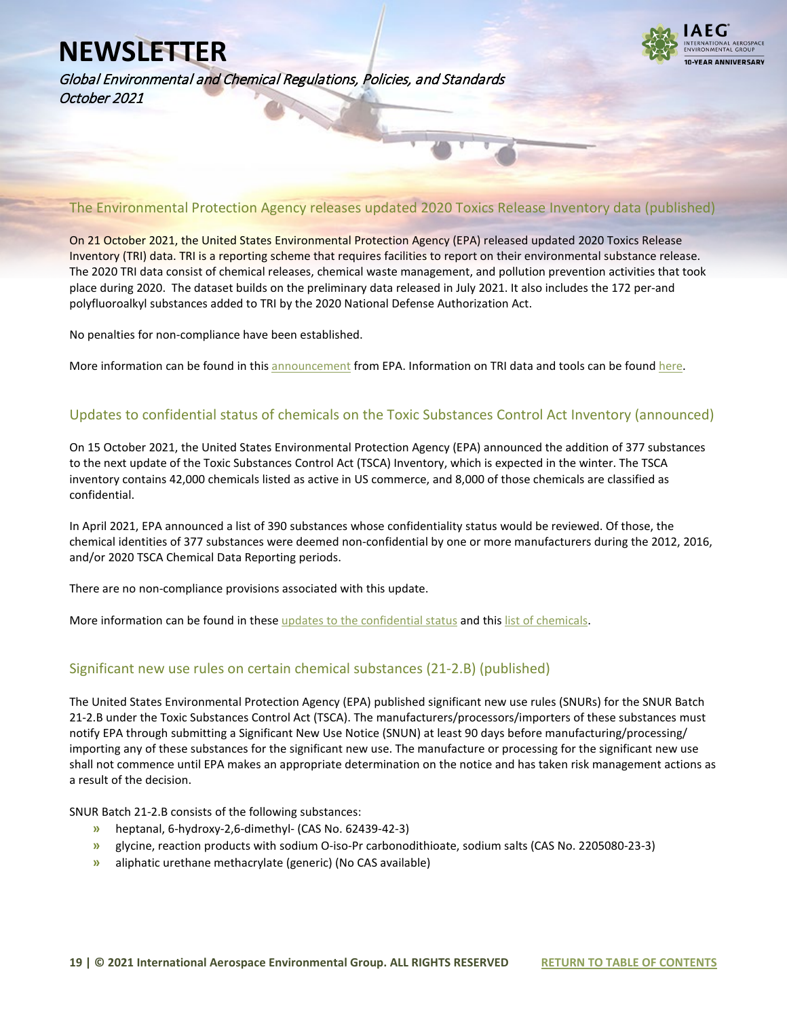

Global Environmental and Chemical Regulations, Policies, and Standards October 2021

### The Environmental Protection Agency releases updated 2020 Toxics Release Inventory data (published)

On 21 October 2021, the United States Environmental Protection Agency (EPA) released updated 2020 Toxics Release Inventory (TRI) data. TRI is a reporting scheme that requires facilities to report on their environmental substance release. The 2020 TRI data consist of chemical releases, chemical waste management, and pollution prevention activities that took place during 2020. The dataset builds on the preliminary data released in July 2021. It also includes the 172 per-and polyfluoroalkyl substances added to TRI by the 2020 National Defense Authorization Act.

No penalties for non-compliance have been established.

More information can be found in thi[s announcement](https://www.epa.gov/chemicals-under-tsca/epa-releases-updated-2020-tri-data) from EPA. Information on TRI data and tools can be found here.

#### Updates to confidential status of chemicals on the Toxic Substances Control Act Inventory (announced)

On 15 October 2021, the United States Environmental Protection Agency (EPA) announced the addition of 377 substances to the next update of the Toxic Substances Control Act (TSCA) Inventory, which is expected in the winter. The TSCA inventory contains 42,000 chemicals listed as active in US commerce, and 8,000 of those chemicals are classified as confidential.

In April 2021, EPA announced a list of 390 substances whose confidentiality status would be reviewed. Of those, the chemical identities of 377 substances were deemed non-confidential by one or more manufacturers during the 2012, 2016, and/or 2020 TSCA Chemical Data Reporting periods.

There are no non-compliance provisions associated with this update.

More information can be found in these [updates to the confidential status](https://www.epa.gov/tsca-cbi/updates-confidential-status-chemicals-tsca-inventory) and this list of chemicals.

### Significant new use rules on certain chemical substances (21-2.B) (published)

The United States Environmental Protection Agency (EPA) published significant new use rules (SNURs) for the SNUR Batch 21-2.B under the Toxic Substances Control Act (TSCA). The manufacturers/processors/importers of these substances must notify EPA through submitting a Significant New Use Notice (SNUN) at least 90 days before manufacturing/processing/ importing any of these substances for the significant new use. The manufacture or processing for the significant new use shall not commence until EPA makes an appropriate determination on the notice and has taken risk management actions as a result of the decision.

SNUR Batch 21-2.B consists of the following substances:

- **»** heptanal, 6-hydroxy-2,6-dimethyl- (CAS No. 62439-42-3)
- **»** glycine, reaction products with sodium O-iso-Pr carbonodithioate, sodium salts (CAS No. 2205080-23-3)
- **»** aliphatic urethane methacrylate (generic) (No CAS available)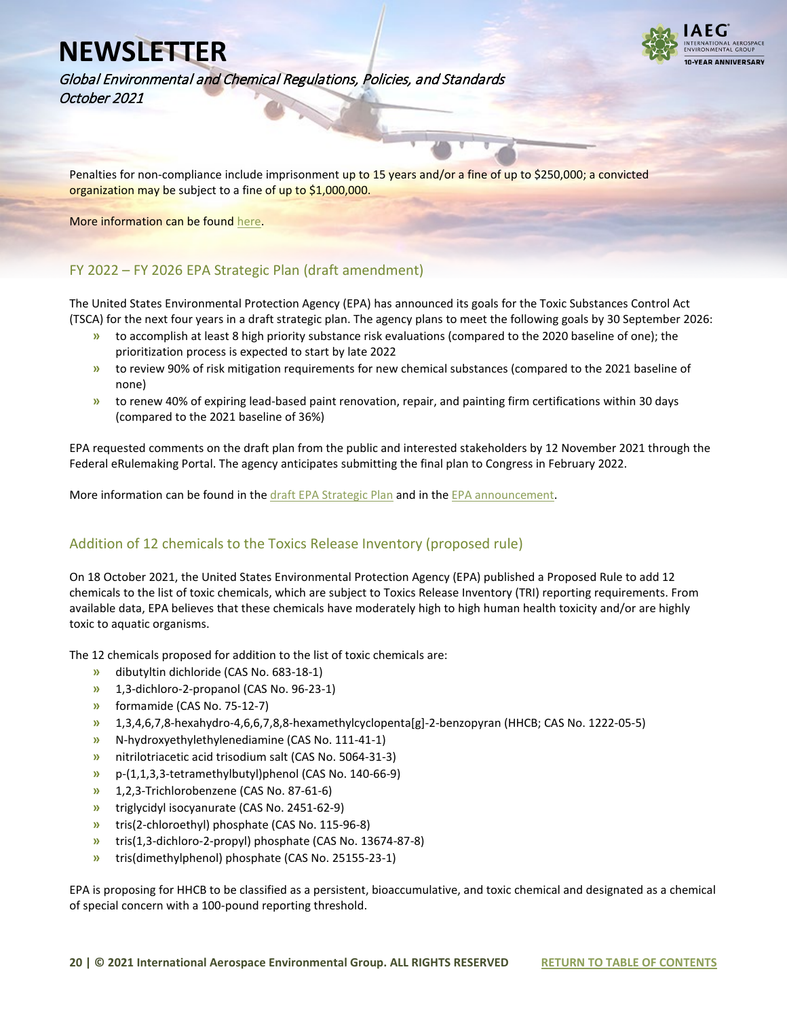

Global Environmental and Chemical Regulations, Policies, and Standards October 2021

Penalties for non-compliance include imprisonment up to 15 years and/or a fine of up to \$250,000; a convicted organization may be subject to a fine of up to \$1,000,000.

More information can be found [here.](https://www.federalregister.gov/documents/2021/10/07/2021-21858/significant-new-use-rules-on-certain-chemical-substances-21-2b)

### FY 2022 – FY 2026 EPA Strategic Plan (draft amendment)

The United States Environmental Protection Agency (EPA) has announced its goals for the Toxic Substances Control Act (TSCA) for the next four years in a draft strategic plan. The agency plans to meet the following goals by 30 September 2026:

- **»** to accomplish at least 8 high priority substance risk evaluations (compared to the 2020 baseline of one); the prioritization process is expected to start by late 2022
- **»** to review 90% of risk mitigation requirements for new chemical substances (compared to the 2021 baseline of none)
- **»** to renew 40% of expiring lead-based paint renovation, repair, and painting firm certifications within 30 days (compared to the 2021 baseline of 36%)

EPA requested comments on the draft plan from the public and interested stakeholders by 12 November 2021 through the Federal eRulemaking Portal. The agency anticipates submitting the final plan to Congress in February 2022.

More information can be found in the [draft EPA Strategic Plan](https://www.epa.gov/system/files/documents/2021-10/fy-2022-2026-epa-draft-strategic-plan.pdf) and in the EPA announcement.

### Addition of 12 chemicals to the Toxics Release Inventory (proposed rule)

On 18 October 2021, the United States Environmental Protection Agency (EPA) published a Proposed Rule to add 12 chemicals to the list of toxic chemicals, which are subject to Toxics Release Inventory (TRI) reporting requirements. From available data, EPA believes that these chemicals have moderately high to high human health toxicity and/or are highly toxic to aquatic organisms.

The 12 chemicals proposed for addition to the list of toxic chemicals are:

- **»** dibutyltin dichloride (CAS No. 683-18-1)
- **»** 1,3-dichloro-2-propanol (CAS No. 96-23-1)
- **»** formamide (CAS No. 75-12-7)
- **»** 1,3,4,6,7,8-hexahydro-4,6,6,7,8,8-hexamethylcyclopenta[g]-2-benzopyran (HHCB; CAS No. 1222-05-5)
- **»** N-hydroxyethylethylenediamine (CAS No. 111-41-1)
- **»** nitrilotriacetic acid trisodium salt (CAS No. 5064-31-3)
- **»** p-(1,1,3,3-tetramethylbutyl)phenol (CAS No. 140-66-9)
- **»** 1,2,3-Trichlorobenzene (CAS No. 87-61-6)
- **»** triglycidyl isocyanurate (CAS No. 2451-62-9)
- **»** tris(2-chloroethyl) phosphate (CAS No. 115-96-8)
- **»** tris(1,3-dichloro-2-propyl) phosphate (CAS No. 13674-87-8)
- **»** tris(dimethylphenol) phosphate (CAS No. 25155-23-1)

EPA is proposing for HHCB to be classified as a persistent, bioaccumulative, and toxic chemical and designated as a chemical of special concern with a 100-pound reporting threshold.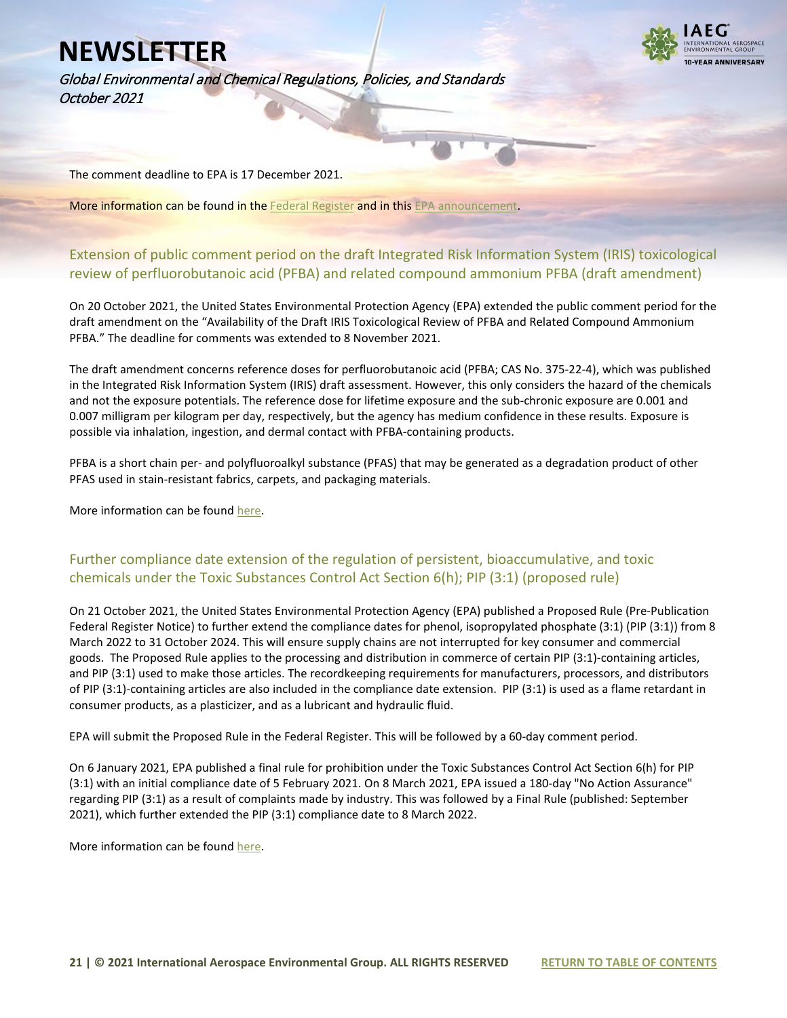Global Environmental and Chemical Regulations, Policies, and Standards October 2021



The comment deadline to EPA is 17 December 2021.

More information can be found in the [Federal Register](https://www.federalregister.gov/documents/2021/10/18/2021-22112/addition-of-certain-chemicals-community-right-to-know-toxic-chemical-release-reporting) and in thi[s EPA announcement.](https://www.epa.gov/toxics-release-inventory-tri-program/addition-certain-chemicals-toxics-release-inventory-proposed)

### Extension of public comment period on the draft Integrated Risk Information System (IRIS) toxicological review of perfluorobutanoic acid (PFBA) and related compound ammonium PFBA (draft amendment)

On 20 October 2021, the United States Environmental Protection Agency (EPA) extended the public comment period for the draft amendment on the "Availability of the Draft IRIS Toxicological Review of PFBA and Related Compound Ammonium PFBA." The deadline for comments was extended to 8 November 2021.

The draft amendment concerns reference doses for perfluorobutanoic acid (PFBA; CAS No. 375-22-4), which was published in the Integrated Risk Information System (IRIS) draft assessment. However, this only considers the hazard of the chemicals and not the exposure potentials. The reference dose for lifetime exposure and the sub-chronic exposure are 0.001 and 0.007 milligram per kilogram per day, respectively, but the agency has medium confidence in these results. Exposure is possible via inhalation, ingestion, and dermal contact with PFBA-containing products.

PFBA is a short chain per- and polyfluoroalkyl substance (PFAS) that may be generated as a degradation product of other PFAS used in stain-resistant fabrics, carpets, and packaging materials.

More information can be foun[d here.](https://www.federalregister.gov/documents/2021/10/20/2021-22784/availability-of-the-draft-iris-toxicological-review-of-perfluorobutanoic-acid-pfba-and-related)

### Further compliance date extension of the regulation of persistent, bioaccumulative, and toxic chemicals under the Toxic Substances Control Act Section 6(h); PIP (3:1) (proposed rule)

On 21 October 2021, the United States Environmental Protection Agency (EPA) published a Proposed Rule (Pre-Publication Federal Register Notice) to further extend the compliance dates for phenol, isopropylated phosphate (3:1) (PIP (3:1)) from 8 March 2022 to 31 October 2024. This will ensure supply chains are not interrupted for key consumer and commercial goods. The Proposed Rule applies to the processing and distribution in commerce of certain PIP (3:1)-containing articles, and PIP (3:1) used to make those articles. The recordkeeping requirements for manufacturers, processors, and distributors of PIP (3:1)-containing articles are also included in the compliance date extension. PIP (3:1) is used as a flame retardant in consumer products, as a plasticizer, and as a lubricant and hydraulic fluid.

EPA will submit the Proposed Rule in the Federal Register. This will be followed by a 60-day comment period.

On 6 January 2021, EPA published a final rule for prohibition under the Toxic Substances Control Act Section 6(h) for PIP (3:1) with an initial compliance date of 5 February 2021. On 8 March 2021, EPA issued a 180-day "No Action Assurance" regarding PIP (3:1) as a result of complaints made by industry. This was followed by a Final Rule (published: September 2021), which further extended the PIP (3:1) compliance date to 8 March 2022.

More information can be foun[d here.](https://www.epa.gov/assessing-and-managing-chemicals-under-tsca/persistent-bioaccumulative-and-toxic-pbt-chemicals)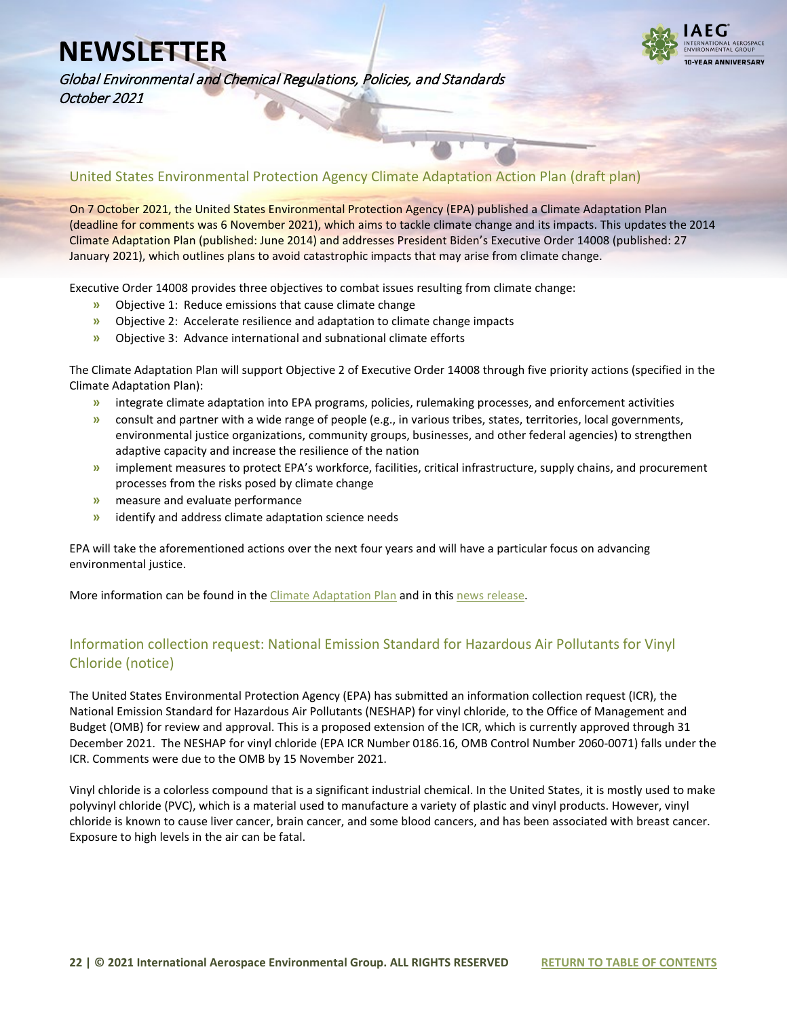

Global Environmental and Chemical Regulations, Policies, and Standards October 2021

### United States Environmental Protection Agency Climate Adaptation Action Plan (draft plan)

On 7 October 2021, the United States Environmental Protection Agency (EPA) published a Climate Adaptation Plan (deadline for comments was 6 November 2021), which aims to tackle climate change and its impacts. This updates the 2014 Climate Adaptation Plan (published: June 2014) and addresses President Biden's Executive Order 14008 (published: 27 January 2021), which outlines plans to avoid catastrophic impacts that may arise from climate change.

Executive Order 14008 provides three objectives to combat issues resulting from climate change:

- **»** Objective 1: Reduce emissions that cause climate change
- **»** Objective 2: Accelerate resilience and adaptation to climate change impacts
- **»** Objective 3: Advance international and subnational climate efforts

The Climate Adaptation Plan will support Objective 2 of Executive Order 14008 through five priority actions (specified in the Climate Adaptation Plan):

- **»** integrate climate adaptation into EPA programs, policies, rulemaking processes, and enforcement activities
- **»** consult and partner with a wide range of people (e.g., in various tribes, states, territories, local governments, environmental justice organizations, community groups, businesses, and other federal agencies) to strengthen adaptive capacity and increase the resilience of the nation
- **»** implement measures to protect EPA's workforce, facilities, critical infrastructure, supply chains, and procurement processes from the risks posed by climate change
- **»** measure and evaluate performance
- **»** identify and address climate adaptation science needs

EPA will take the aforementioned actions over the next four years and will have a particular focus on advancing environmental justice.

More information can be found in the [Climate Adaptation Plan](https://www.epa.gov/climate-adaptation/climate-adaptation-plan) and in thi[s news release.](https://www.epa.gov/newsreleases/epa-publishes-its-2021-climate-adaptation-action-plan)

### Information collection request: National Emission Standard for Hazardous Air Pollutants for Vinyl Chloride (notice)

The United States Environmental Protection Agency (EPA) has submitted an information collection request (ICR), the National Emission Standard for Hazardous Air Pollutants (NESHAP) for vinyl chloride, to the Office of Management and Budget (OMB) for review and approval. This is a proposed extension of the ICR, which is currently approved through 31 December 2021. The NESHAP for vinyl chloride (EPA ICR Number 0186.16, OMB Control Number 2060-0071) falls under the ICR. Comments were due to the OMB by 15 November 2021.

Vinyl chloride is a colorless compound that is a significant industrial chemical. In the United States, it is mostly used to make polyvinyl chloride (PVC), which is a material used to manufacture a variety of plastic and vinyl products. However, vinyl chloride is known to cause liver cancer, brain cancer, and some blood cancers, and has been associated with breast cancer. Exposure to high levels in the air can be fatal.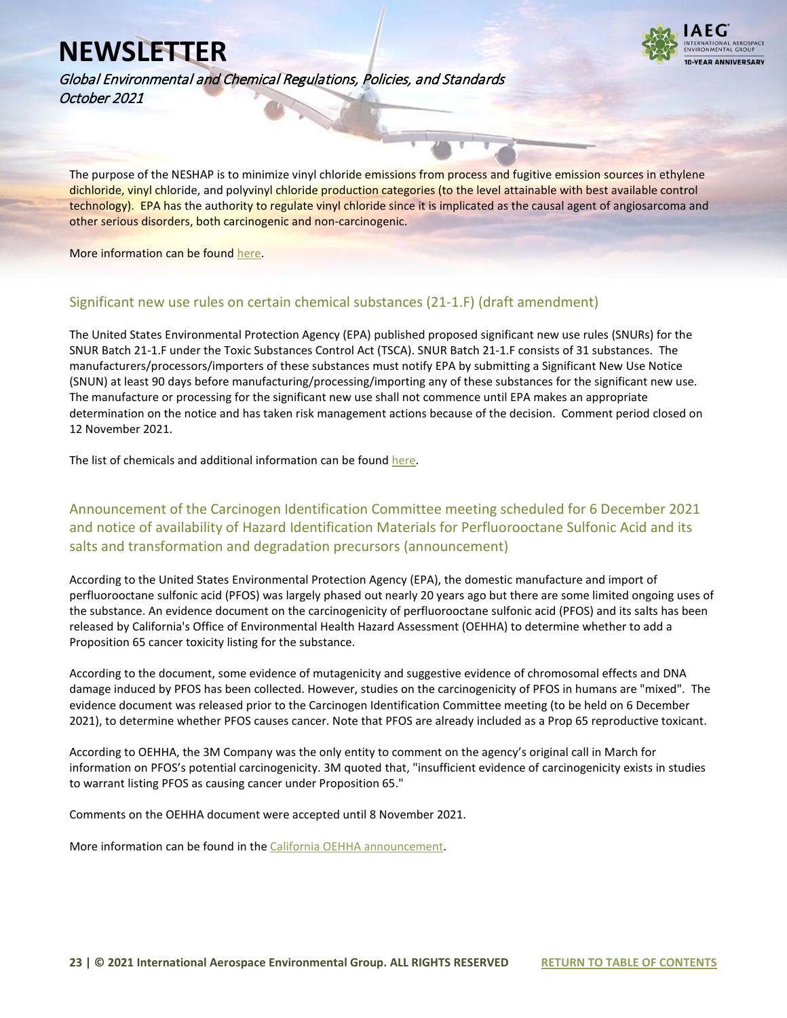

Global Environmental and Chemical Regulations, Policies, and Standards October 2021

The purpose of the NESHAP is to minimize vinyl chloride emissions from process and fugitive emission sources in ethylene dichloride, vinyl chloride, and polyvinyl chloride production categories (to the level attainable with best available control technology). EPA has the authority to regulate vinyl chloride since it is implicated as the causal agent of angiosarcoma and other serious disorders, both carcinogenic and non-carcinogenic.

#### More information can be foun[d here.](https://www.federalregister.gov/documents/2021/10/14/2021-22299/information-collection-request-submitted-to-omb-for-review-and-approval-comment-request-neshap-for)

#### Significant new use rules on certain chemical substances (21-1.F) (draft amendment)

The United States Environmental Protection Agency (EPA) published proposed significant new use rules (SNURs) for the SNUR Batch 21-1.F under the Toxic Substances Control Act (TSCA). SNUR Batch 21-1.F consists of 31 substances. The manufacturers/processors/importers of these substances must notify EPA by submitting a Significant New Use Notice (SNUN) at least 90 days before manufacturing/processing/importing any of these substances for the significant new use. The manufacture or processing for the significant new use shall not commence until EPA makes an appropriate determination on the notice and has taken risk management actions because of the decision. Comment period closed on 12 November 2021.

The list of chemicals and additional information can be found [here.](https://www.federalregister.gov/documents/2021/10/12/2021-21872/significant-new-use-rules-on-certain-chemical-substances-21-1f)

Announcement of the Carcinogen Identification Committee meeting scheduled for 6 December 2021 and notice of availability of Hazard Identification Materials for Perfluorooctane Sulfonic Acid and its salts and transformation and degradation precursors (announcement)

According to the United States Environmental Protection Agency (EPA), the domestic manufacture and import of perfluorooctane sulfonic acid (PFOS) was largely phased out nearly 20 years ago but there are some limited ongoing uses of the substance. An evidence document on the carcinogenicity of perfluorooctane sulfonic acid (PFOS) and its salts has been released by California's Office of Environmental Health Hazard Assessment (OEHHA) to determine whether to add a Proposition 65 cancer toxicity listing for the substance.

According to the document, some evidence of mutagenicity and suggestive evidence of chromosomal effects and DNA damage induced by PFOS has been collected. However, studies on the carcinogenicity of PFOS in humans are "mixed". The evidence document was released prior to the Carcinogen Identification Committee meeting (to be held on 6 December 2021), to determine whether PFOS causes cancer. Note that PFOS are already included as a Prop 65 reproductive toxicant.

According to OEHHA, the 3M Company was the only entity to comment on the agency's original call in March for information on PFOS's potential carcinogenicity. 3M quoted that, "insufficient evidence of carcinogenicity exists in studies to warrant listing PFOS as causing cancer under Proposition 65."

Comments on the OEHHA document were accepted until 8 November 2021.

More information can be found in th[e California OEHHA announcement.](https://oehha.ca.gov/proposition-65/crnr/announcement-carcinogen-identification-committee-meeting-scheduled-december-6)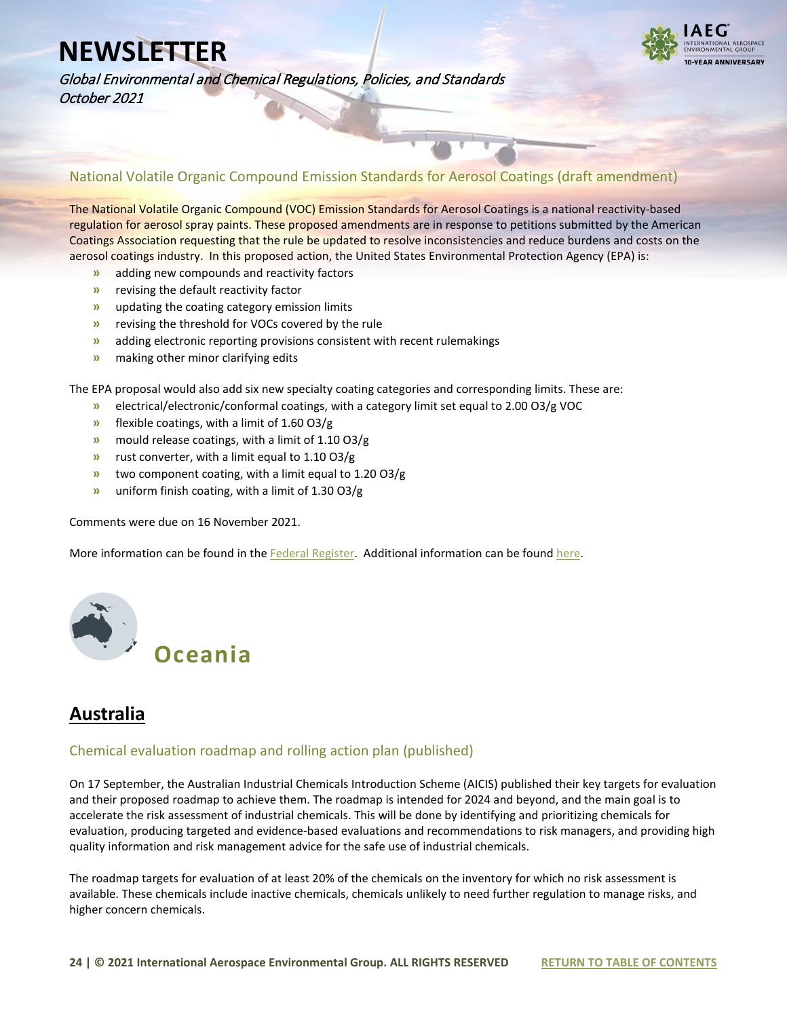

Global Environmental and Chemical Regulations, Policies, and Standards October 2021

National Volatile Organic Compound Emission Standards for Aerosol Coatings (draft amendment)

The National Volatile Organic Compound (VOC) Emission Standards for Aerosol Coatings is a national reactivity-based regulation for aerosol spray paints. These proposed amendments are in response to petitions submitted by the American Coatings Association requesting that the rule be updated to resolve inconsistencies and reduce burdens and costs on the aerosol coatings industry. In this proposed action, the United States Environmental Protection Agency (EPA) is:

- **»** adding new compounds and reactivity factors
- **»** revising the default reactivity factor
- **»** updating the coating category emission limits
- **»** revising the threshold for VOCs covered by the rule
- **»** adding electronic reporting provisions consistent with recent rulemakings
- **»** making other minor clarifying edits

The EPA proposal would also add six new specialty coating categories and corresponding limits. These are:

- **»** electrical/electronic/conformal coatings, with a category limit set equal to 2.00 O3/g VOC
- **»** flexible coatings, with a limit of 1.60 O3/g
- **»** mould release coatings, with a limit of 1.10 O3/g
- **»** rust converter, with a limit equal to 1.10 O3/g
- **»** two component coating, with a limit equal to 1.20 O3/g
- **»** uniform finish coating, with a limit of 1.30 O3/g

Comments were due on 16 November 2021.

More information can be found in the [Federal Register.](https://www.federalregister.gov/documents/2021/09/17/2021-19896/national-volatile-organic-compound-emission-standards-for-aerosol-coatings-amendments) Additional information can be found [here.](https://www.epa.gov/stationary-sources-air-pollution/proposed-amendments-national-volatile-organic-compound-emission)

<span id="page-23-0"></span>

## **Australia**

#### Chemical evaluation roadmap and rolling action plan (published)

On 17 September, the Australian Industrial Chemicals Introduction Scheme (AICIS) published their key targets for evaluation and their proposed roadmap to achieve them. The roadmap is intended for 2024 and beyond, and the main goal is to accelerate the risk assessment of industrial chemicals. This will be done by identifying and prioritizing chemicals for evaluation, producing targeted and evidence-based evaluations and recommendations to risk managers, and providing high quality information and risk management advice for the safe use of industrial chemicals.

The roadmap targets for evaluation of at least 20% of the chemicals on the inventory for which no risk assessment is available. These chemicals include inactive chemicals, chemicals unlikely to need further regulation to manage risks, and higher concern chemicals.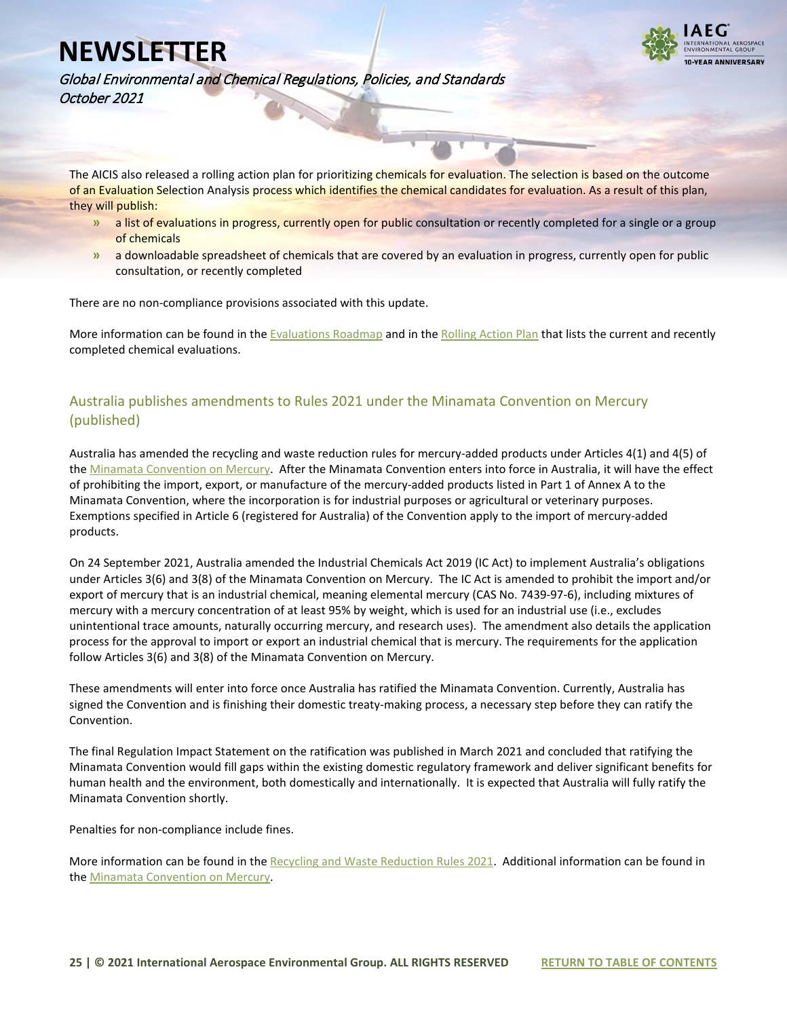

Global Environmental and Chemical Regulations, Policies, and Standards October 2021

The AICIS also released a rolling action plan for prioritizing chemicals for evaluation. The selection is based on the outcome of an Evaluation Selection Analysis process which identifies the chemical candidates for evaluation. As a result of this plan, they will publish:

- **»** a list of evaluations in progress, currently open for public consultation or recently completed for a single or a group of chemicals
- **»** a downloadable spreadsheet of chemicals that are covered by an evaluation in progress, currently open for public consultation, or recently completed

There are no non-compliance provisions associated with this update.

More information can be found in the [Evaluations Roadmap](https://www.industrialchemicals.gov.au/consumers-and-community/our-evaluations/evaluations-roadmap) and in th[e Rolling Action Plan](https://www.industrialchemicals.gov.au/consumers-and-community/our-evaluations/evaluations-roadmap) that lists the current and recently completed chemical evaluations.

### Australia publishes amendments to Rules 2021 under the Minamata Convention on Mercury (published)

Australia has amended the recycling and waste reduction rules for mercury-added products under Articles 4(1) and 4(5) of the [Minamata Convention on Mercury.](https://www.awe.gov.au/environment/protection/chemicals-management/mercury) After the Minamata Convention enters into force in Australia, it will have the effect of prohibiting the import, export, or manufacture of the mercury-added products listed in Part 1 of Annex A to the Minamata Convention, where the incorporation is for industrial purposes or agricultural or veterinary purposes. Exemptions specified in Article 6 (registered for Australia) of the Convention apply to the import of mercury-added products.

On 24 September 2021, Australia amended the Industrial Chemicals Act 2019 (IC Act) to implement Australia's obligations under Articles 3(6) and 3(8) of the Minamata Convention on Mercury. The IC Act is amended to prohibit the import and/or export of mercury that is an industrial chemical, meaning elemental mercury (CAS No. 7439-97-6), including mixtures of mercury with a mercury concentration of at least 95% by weight, which is used for an industrial use (i.e., excludes unintentional trace amounts, naturally occurring mercury, and research uses). The amendment also details the application process for the approval to import or export an industrial chemical that is mercury. The requirements for the application follow Articles 3(6) and 3(8) of the Minamata Convention on Mercury.

These amendments will enter into force once Australia has ratified the Minamata Convention. Currently, Australia has signed the Convention and is finishing their domestic treaty-making process, a necessary step before they can ratify the Convention.

The final Regulation Impact Statement on the ratification was published in March 2021 and concluded that ratifying the Minamata Convention would fill gaps within the existing domestic regulatory framework and deliver significant benefits for human health and the environment, both domestically and internationally. It is expected that Australia will fully ratify the Minamata Convention shortly.

Penalties for non-compliance include fines.

More information can be found in the [Recycling and Waste Reduction Rules 2021.](https://www.legislation.gov.au/Details/F2021L01393) Additional information can be found in the [Minamata Convention on Mercury.](https://www.awe.gov.au/environment/protection/chemicals-management/mercury)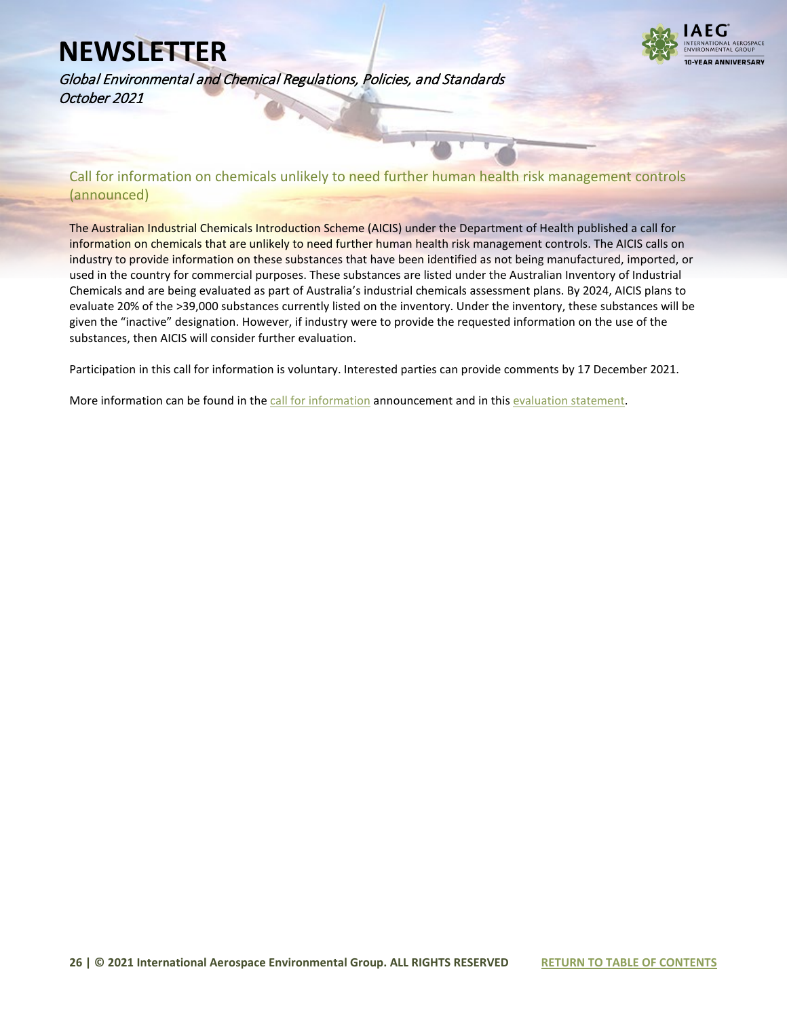

Global Environmental and Chemical Regulations, Policies, and Standards October 2021

Call for information on chemicals unlikely to need further human health risk management controls (announced)

The Australian Industrial Chemicals Introduction Scheme (AICIS) under the Department of Health published a call for information on chemicals that are unlikely to need further human health risk management controls. The AICIS calls on industry to provide information on these substances that have been identified as not being manufactured, imported, or used in the country for commercial purposes. These substances are listed under the Australian Inventory of Industrial Chemicals and are being evaluated as part of Australia's industrial chemicals assessment plans. By 2024, AICIS plans to evaluate 20% of the >39,000 substances currently listed on the inventory. Under the inventory, these substances will be given the "inactive" designation. However, if industry were to provide the requested information on the use of the substances, then AICIS will consider further evaluation.

Participation in this call for information is voluntary. Interested parties can provide comments by 17 December 2021.

More information can be found in the [call for information](https://www.industrialchemicals.gov.au/consultations/call-information-chemicals-unlikely-need-further-human-health-risk-management-controls) announcement and in thi[s evaluation statement.](https://www.industrialchemicals.gov.au/sites/default/files/2021-10/EVA00068%20-%20Draft%20evaluation%20statement%20-%2018%20October%202021%20%5B916%20KB%5D.pdf)